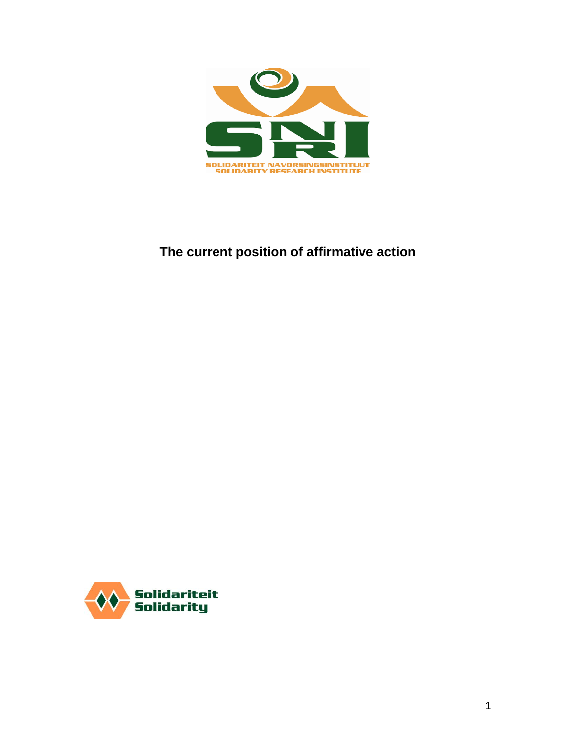

# **The current position of affirmative action**

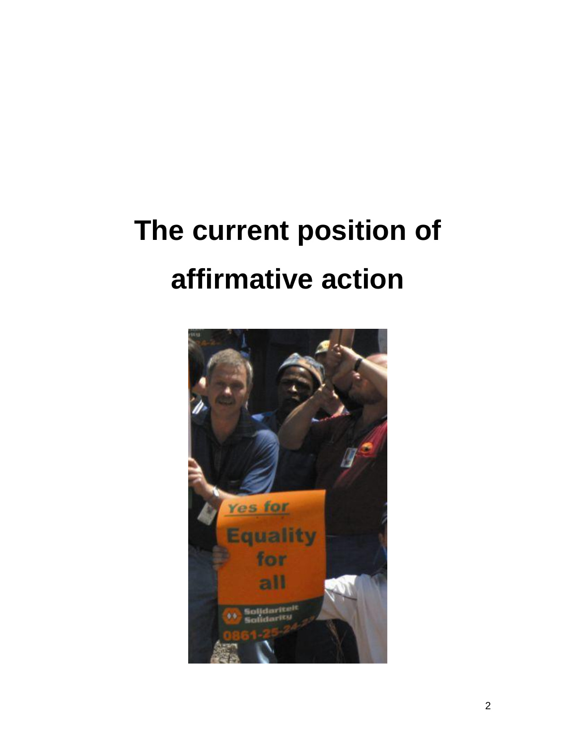# **The current position of affirmative action**

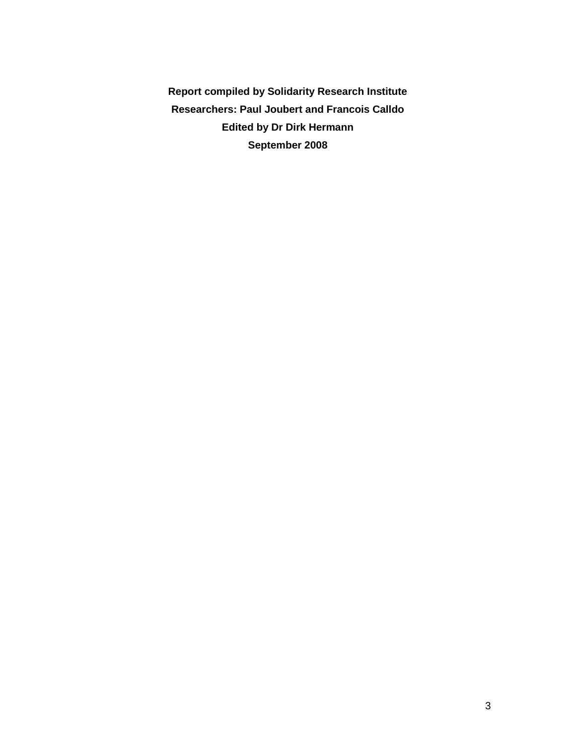**Report compiled by Solidarity Research Institute Researchers: Paul Joubert and Francois Calldo Edited by Dr Dirk Hermann September 2008**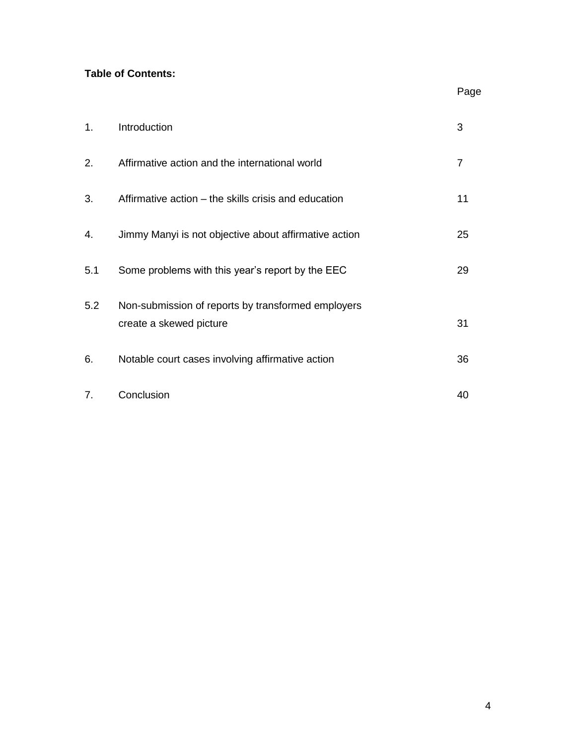# **Table of Contents:**

| 1.  | Introduction                                                                  | 3              |
|-----|-------------------------------------------------------------------------------|----------------|
| 2.  | Affirmative action and the international world                                | $\overline{7}$ |
| 3.  | Affirmative action – the skills crisis and education                          | 11             |
| 4.  | Jimmy Manyi is not objective about affirmative action                         | 25             |
| 5.1 | Some problems with this year's report by the EEC                              | 29             |
| 5.2 | Non-submission of reports by transformed employers<br>create a skewed picture | 31             |
| 6.  | Notable court cases involving affirmative action                              | 36             |
| 7.  | Conclusion                                                                    | 40             |

Page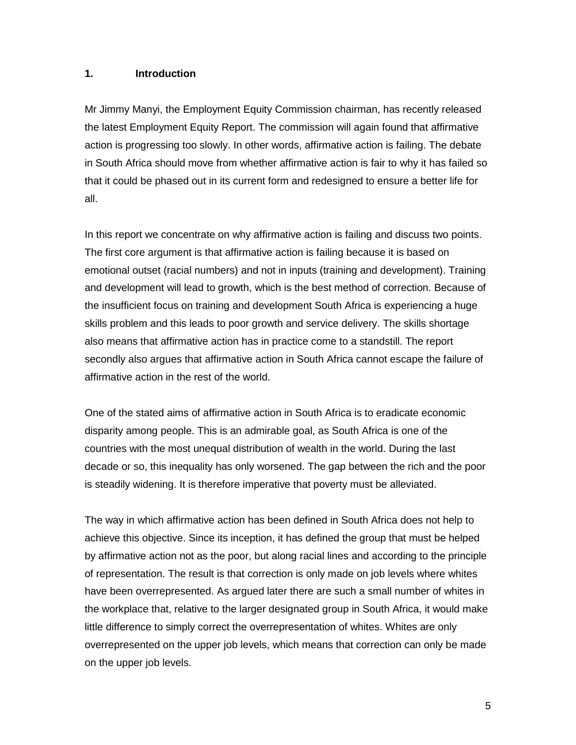#### **1. Introduction**

Mr Jimmy Manyi, the Employment Equity Commission chairman, has recently released the latest Employment Equity Report. The commission will again found that affirmative action is progressing too slowly. In other words, affirmative action is failing. The debate in South Africa should move from whether affirmative action is fair to why it has failed so that it could be phased out in its current form and redesigned to ensure a better life for all.

In this report we concentrate on why affirmative action is failing and discuss two points. The first core argument is that affirmative action is failing because it is based on emotional outset (racial numbers) and not in inputs (training and development). Training and development will lead to growth, which is the best method of correction. Because of the insufficient focus on training and development South Africa is experiencing a huge skills problem and this leads to poor growth and service delivery. The skills shortage also means that affirmative action has in practice come to a standstill. The report secondly also argues that affirmative action in South Africa cannot escape the failure of affirmative action in the rest of the world.

One of the stated aims of affirmative action in South Africa is to eradicate economic disparity among people. This is an admirable goal, as South Africa is one of the countries with the most unequal distribution of wealth in the world. During the last decade or so, this inequality has only worsened. The gap between the rich and the poor is steadily widening. It is therefore imperative that poverty must be alleviated.

The way in which affirmative action has been defined in South Africa does not help to achieve this objective. Since its inception, it has defined the group that must be helped by affirmative action not as the poor, but along racial lines and according to the principle of representation. The result is that correction is only made on job levels where whites have been overrepresented. As argued later there are such a small number of whites in the workplace that, relative to the larger designated group in South Africa, it would make little difference to simply correct the overrepresentation of whites. Whites are only overrepresented on the upper job levels, which means that correction can only be made on the upper job levels.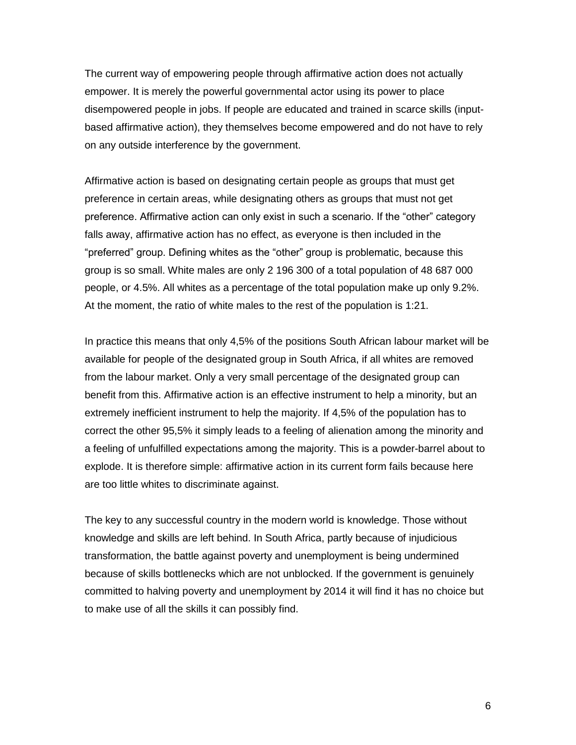The current way of empowering people through affirmative action does not actually empower. It is merely the powerful governmental actor using its power to place disempowered people in jobs. If people are educated and trained in scarce skills (inputbased affirmative action), they themselves become empowered and do not have to rely on any outside interference by the government.

Affirmative action is based on designating certain people as groups that must get preference in certain areas, while designating others as groups that must not get preference. Affirmative action can only exist in such a scenario. If the "other" category falls away, affirmative action has no effect, as everyone is then included in the "preferred" group. Defining whites as the "other" group is problematic, because this group is so small. White males are only 2 196 300 of a total population of 48 687 000 people, or 4.5%. All whites as a percentage of the total population make up only 9.2%. At the moment, the ratio of white males to the rest of the population is 1:21.

In practice this means that only 4,5% of the positions South African labour market will be available for people of the designated group in South Africa, if all whites are removed from the labour market. Only a very small percentage of the designated group can benefit from this. Affirmative action is an effective instrument to help a minority, but an extremely inefficient instrument to help the majority. If 4,5% of the population has to correct the other 95,5% it simply leads to a feeling of alienation among the minority and a feeling of unfulfilled expectations among the majority. This is a powder-barrel about to explode. It is therefore simple: affirmative action in its current form fails because here are too little whites to discriminate against.

The key to any successful country in the modern world is knowledge. Those without knowledge and skills are left behind. In South Africa, partly because of injudicious transformation, the battle against poverty and unemployment is being undermined because of skills bottlenecks which are not unblocked. If the government is genuinely committed to halving poverty and unemployment by 2014 it will find it has no choice but to make use of all the skills it can possibly find.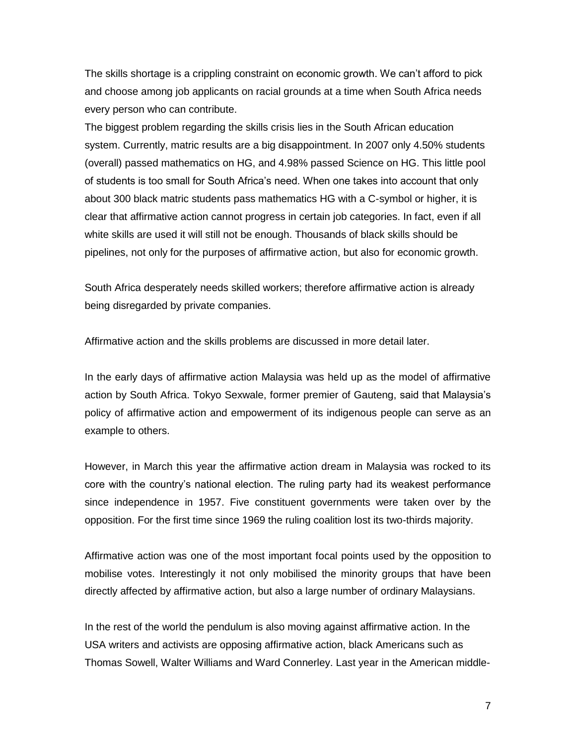The skills shortage is a crippling constraint on economic growth. We can"t afford to pick and choose among job applicants on racial grounds at a time when South Africa needs every person who can contribute.

The biggest problem regarding the skills crisis lies in the South African education system. Currently, matric results are a big disappointment. In 2007 only 4.50% students (overall) passed mathematics on HG, and 4.98% passed Science on HG. This little pool of students is too small for South Africa"s need. When one takes into account that only about 300 black matric students pass mathematics HG with a C-symbol or higher, it is clear that affirmative action cannot progress in certain job categories. In fact, even if all white skills are used it will still not be enough. Thousands of black skills should be pipelines, not only for the purposes of affirmative action, but also for economic growth.

South Africa desperately needs skilled workers; therefore affirmative action is already being disregarded by private companies.

Affirmative action and the skills problems are discussed in more detail later.

In the early days of affirmative action Malaysia was held up as the model of affirmative action by South Africa. Tokyo Sexwale, former premier of Gauteng, said that Malaysia"s policy of affirmative action and empowerment of its indigenous people can serve as an example to others.

However, in March this year the affirmative action dream in Malaysia was rocked to its core with the country"s national election. The ruling party had its weakest performance since independence in 1957. Five constituent governments were taken over by the opposition. For the first time since 1969 the ruling coalition lost its two-thirds majority.

Affirmative action was one of the most important focal points used by the opposition to mobilise votes. Interestingly it not only mobilised the minority groups that have been directly affected by affirmative action, but also a large number of ordinary Malaysians.

In the rest of the world the pendulum is also moving against affirmative action. In the USA writers and activists are opposing affirmative action, black Americans such as Thomas Sowell, Walter Williams and Ward Connerley. Last year in the American middle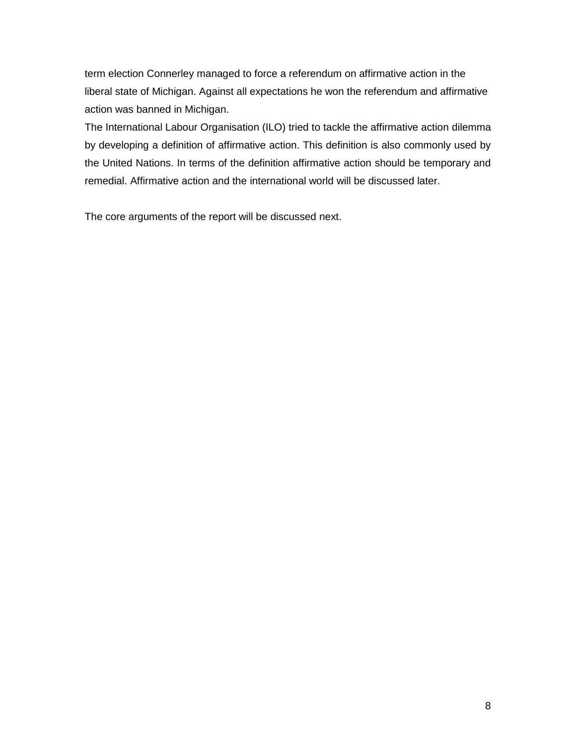term election Connerley managed to force a referendum on affirmative action in the liberal state of Michigan. Against all expectations he won the referendum and affirmative action was banned in Michigan.

The International Labour Organisation (ILO) tried to tackle the affirmative action dilemma by developing a definition of affirmative action. This definition is also commonly used by the United Nations. In terms of the definition affirmative action should be temporary and remedial. Affirmative action and the international world will be discussed later.

The core arguments of the report will be discussed next.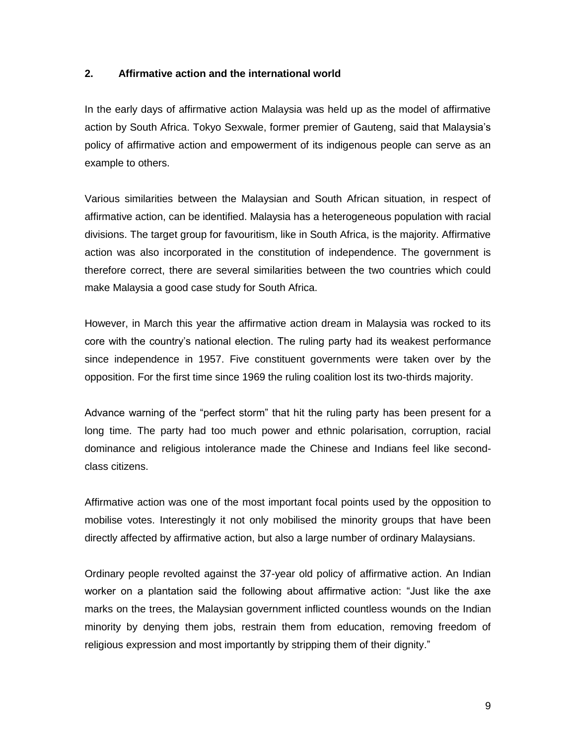#### **2. Affirmative action and the international world**

In the early days of affirmative action Malaysia was held up as the model of affirmative action by South Africa. Tokyo Sexwale, former premier of Gauteng, said that Malaysia"s policy of affirmative action and empowerment of its indigenous people can serve as an example to others.

Various similarities between the Malaysian and South African situation, in respect of affirmative action, can be identified. Malaysia has a heterogeneous population with racial divisions. The target group for favouritism, like in South Africa, is the majority. Affirmative action was also incorporated in the constitution of independence. The government is therefore correct, there are several similarities between the two countries which could make Malaysia a good case study for South Africa.

However, in March this year the affirmative action dream in Malaysia was rocked to its core with the country"s national election. The ruling party had its weakest performance since independence in 1957. Five constituent governments were taken over by the opposition. For the first time since 1969 the ruling coalition lost its two-thirds majority.

Advance warning of the "perfect storm" that hit the ruling party has been present for a long time. The party had too much power and ethnic polarisation, corruption, racial dominance and religious intolerance made the Chinese and Indians feel like secondclass citizens.

Affirmative action was one of the most important focal points used by the opposition to mobilise votes. Interestingly it not only mobilised the minority groups that have been directly affected by affirmative action, but also a large number of ordinary Malaysians.

Ordinary people revolted against the 37-year old policy of affirmative action. An Indian worker on a plantation said the following about affirmative action: "Just like the axe marks on the trees, the Malaysian government inflicted countless wounds on the Indian minority by denying them jobs, restrain them from education, removing freedom of religious expression and most importantly by stripping them of their dignity."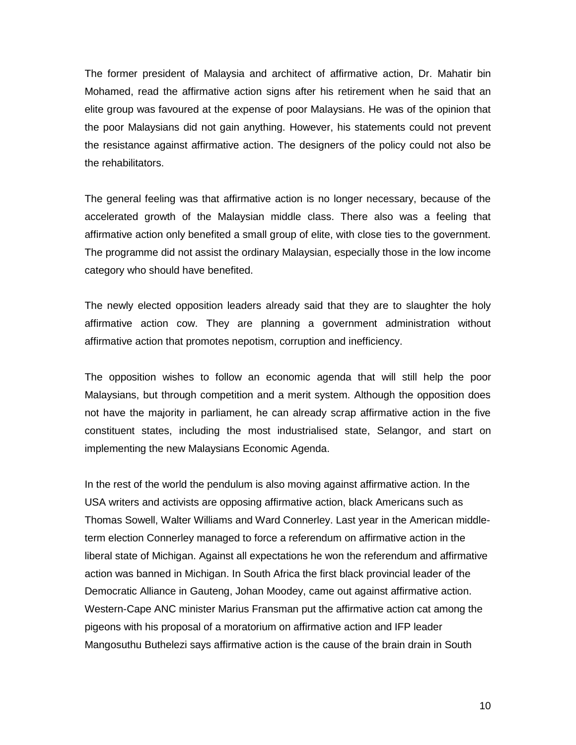The former president of Malaysia and architect of affirmative action, Dr. Mahatir bin Mohamed, read the affirmative action signs after his retirement when he said that an elite group was favoured at the expense of poor Malaysians. He was of the opinion that the poor Malaysians did not gain anything. However, his statements could not prevent the resistance against affirmative action. The designers of the policy could not also be the rehabilitators.

The general feeling was that affirmative action is no longer necessary, because of the accelerated growth of the Malaysian middle class. There also was a feeling that affirmative action only benefited a small group of elite, with close ties to the government. The programme did not assist the ordinary Malaysian, especially those in the low income category who should have benefited.

The newly elected opposition leaders already said that they are to slaughter the holy affirmative action cow. They are planning a government administration without affirmative action that promotes nepotism, corruption and inefficiency.

The opposition wishes to follow an economic agenda that will still help the poor Malaysians, but through competition and a merit system. Although the opposition does not have the majority in parliament, he can already scrap affirmative action in the five constituent states, including the most industrialised state, Selangor, and start on implementing the new Malaysians Economic Agenda.

In the rest of the world the pendulum is also moving against affirmative action. In the USA writers and activists are opposing affirmative action, black Americans such as Thomas Sowell, Walter Williams and Ward Connerley. Last year in the American middleterm election Connerley managed to force a referendum on affirmative action in the liberal state of Michigan. Against all expectations he won the referendum and affirmative action was banned in Michigan. In South Africa the first black provincial leader of the Democratic Alliance in Gauteng, Johan Moodey, came out against affirmative action. Western-Cape ANC minister Marius Fransman put the affirmative action cat among the pigeons with his proposal of a moratorium on affirmative action and IFP leader Mangosuthu Buthelezi says affirmative action is the cause of the brain drain in South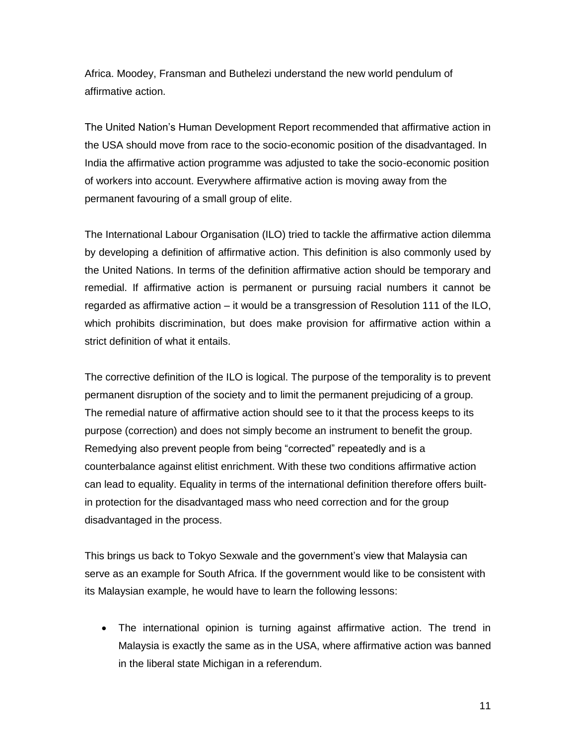Africa. Moodey, Fransman and Buthelezi understand the new world pendulum of affirmative action.

The United Nation"s Human Development Report recommended that affirmative action in the USA should move from race to the socio-economic position of the disadvantaged. In India the affirmative action programme was adjusted to take the socio-economic position of workers into account. Everywhere affirmative action is moving away from the permanent favouring of a small group of elite.

The International Labour Organisation (ILO) tried to tackle the affirmative action dilemma by developing a definition of affirmative action. This definition is also commonly used by the United Nations. In terms of the definition affirmative action should be temporary and remedial. If affirmative action is permanent or pursuing racial numbers it cannot be regarded as affirmative action – it would be a transgression of Resolution 111 of the ILO, which prohibits discrimination, but does make provision for affirmative action within a strict definition of what it entails.

The corrective definition of the ILO is logical. The purpose of the temporality is to prevent permanent disruption of the society and to limit the permanent prejudicing of a group. The remedial nature of affirmative action should see to it that the process keeps to its purpose (correction) and does not simply become an instrument to benefit the group. Remedying also prevent people from being "corrected" repeatedly and is a counterbalance against elitist enrichment. With these two conditions affirmative action can lead to equality. Equality in terms of the international definition therefore offers builtin protection for the disadvantaged mass who need correction and for the group disadvantaged in the process.

This brings us back to Tokyo Sexwale and the government"s view that Malaysia can serve as an example for South Africa. If the government would like to be consistent with its Malaysian example, he would have to learn the following lessons:

 The international opinion is turning against affirmative action. The trend in Malaysia is exactly the same as in the USA, where affirmative action was banned in the liberal state Michigan in a referendum.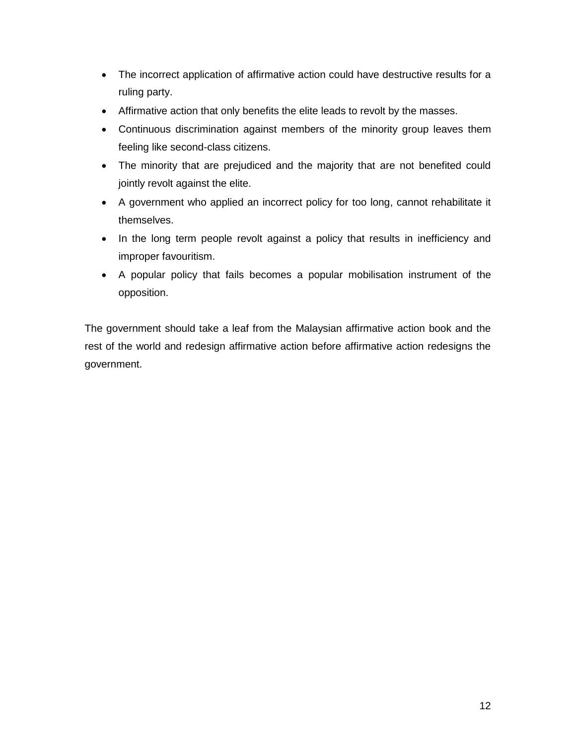- The incorrect application of affirmative action could have destructive results for a ruling party.
- Affirmative action that only benefits the elite leads to revolt by the masses.
- Continuous discrimination against members of the minority group leaves them feeling like second-class citizens.
- The minority that are prejudiced and the majority that are not benefited could jointly revolt against the elite.
- A government who applied an incorrect policy for too long, cannot rehabilitate it themselves.
- In the long term people revolt against a policy that results in inefficiency and improper favouritism.
- A popular policy that fails becomes a popular mobilisation instrument of the opposition.

The government should take a leaf from the Malaysian affirmative action book and the rest of the world and redesign affirmative action before affirmative action redesigns the government.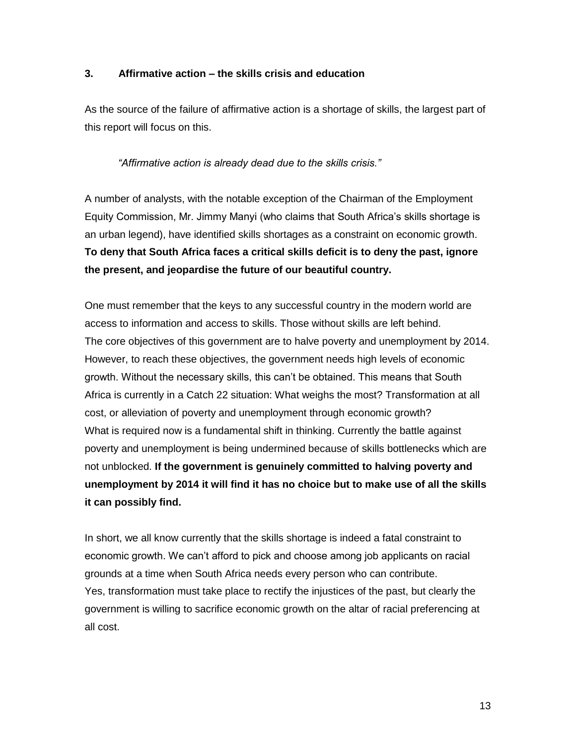#### **3. Affirmative action – the skills crisis and education**

As the source of the failure of affirmative action is a shortage of skills, the largest part of this report will focus on this.

## *"Affirmative action is already dead due to the skills crisis."*

A number of analysts, with the notable exception of the Chairman of the Employment Equity Commission, Mr. Jimmy Manyi (who claims that South Africa"s skills shortage is an urban legend), have identified skills shortages as a constraint on economic growth. **To deny that South Africa faces a critical skills deficit is to deny the past, ignore the present, and jeopardise the future of our beautiful country.** 

One must remember that the keys to any successful country in the modern world are access to information and access to skills. Those without skills are left behind. The core objectives of this government are to halve poverty and unemployment by 2014. However, to reach these objectives, the government needs high levels of economic growth. Without the necessary skills, this can"t be obtained. This means that South Africa is currently in a Catch 22 situation: What weighs the most? Transformation at all cost, or alleviation of poverty and unemployment through economic growth? What is required now is a fundamental shift in thinking. Currently the battle against poverty and unemployment is being undermined because of skills bottlenecks which are not unblocked. **If the government is genuinely committed to halving poverty and unemployment by 2014 it will find it has no choice but to make use of all the skills it can possibly find.** 

In short, we all know currently that the skills shortage is indeed a fatal constraint to economic growth. We can"t afford to pick and choose among job applicants on racial grounds at a time when South Africa needs every person who can contribute. Yes, transformation must take place to rectify the injustices of the past, but clearly the government is willing to sacrifice economic growth on the altar of racial preferencing at all cost.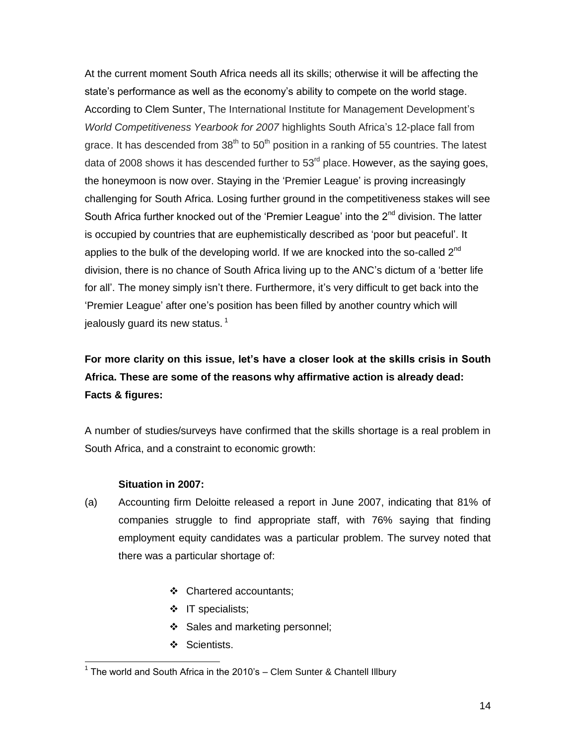At the current moment South Africa needs all its skills; otherwise it will be affecting the state's performance as well as the economy's ability to compete on the world stage. According to Clem Sunter, The International Institute for Management Development"s *World Competitiveness Yearbook for 2007* highlights South Africa"s 12-place fall from grace. It has descended from  $38<sup>th</sup>$  to  $50<sup>th</sup>$  position in a ranking of 55 countries. The latest data of 2008 shows it has descended further to  $53<sup>rd</sup>$  place. However, as the saying goes, the honeymoon is now over. Staying in the "Premier League" is proving increasingly challenging for South Africa. Losing further ground in the competitiveness stakes will see South Africa further knocked out of the 'Premier League' into the 2<sup>nd</sup> division. The latter is occupied by countries that are euphemistically described as "poor but peaceful". It applies to the bulk of the developing world. If we are knocked into the so-called  $2<sup>nd</sup>$ division, there is no chance of South Africa living up to the ANC"s dictum of a "better life for all". The money simply isn"t there. Furthermore, it"s very difficult to get back into the "Premier League" after one"s position has been filled by another country which will iealously quard its new status.  $1$ 

# **For more clarity on this issue, let's have a closer look at the skills crisis in South Africa. These are some of the reasons why affirmative action is already dead: Facts & figures:**

A number of studies/surveys have confirmed that the skills shortage is a real problem in South Africa, and a constraint to economic growth:

#### **Situation in 2007:**

- (a) Accounting firm Deloitte released a report in June 2007, indicating that 81% of companies struggle to find appropriate staff, with 76% saying that finding employment equity candidates was a particular problem. The survey noted that there was a particular shortage of:
	- Chartered accountants;
	- $\div$  IT specialists;
	- Sales and marketing personnel;
	- ❖ Scientists.

<sup>&</sup>lt;sup>1</sup> The world and South Africa in the 2010's – Clem Sunter & Chantell Illbury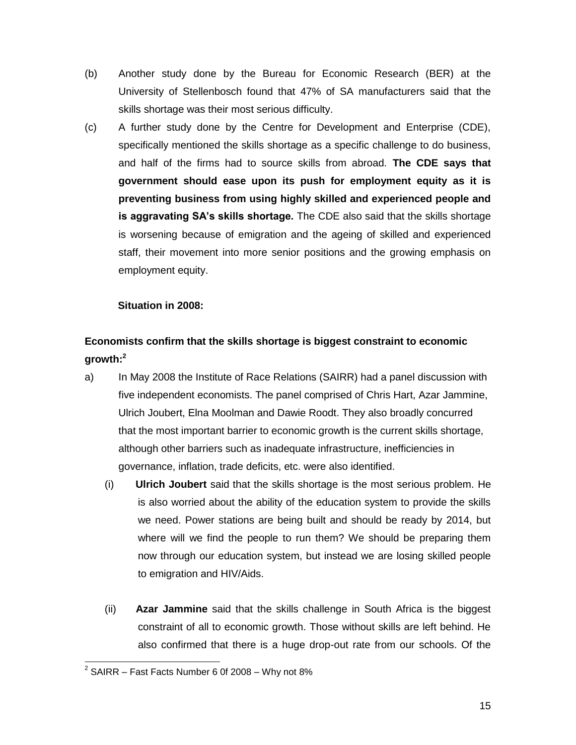- (b) Another study done by the Bureau for Economic Research (BER) at the University of Stellenbosch found that 47% of SA manufacturers said that the skills shortage was their most serious difficulty.
- (c) A further study done by the Centre for Development and Enterprise (CDE), specifically mentioned the skills shortage as a specific challenge to do business, and half of the firms had to source skills from abroad. **The CDE says that government should ease upon its push for employment equity as it is preventing business from using highly skilled and experienced people and is aggravating SA's skills shortage.** The CDE also said that the skills shortage is worsening because of emigration and the ageing of skilled and experienced staff, their movement into more senior positions and the growing emphasis on employment equity.

## **Situation in 2008:**

# **Economists confirm that the skills shortage is biggest constraint to economic growth:<sup>2</sup>**

- a) In May 2008 the Institute of Race Relations (SAIRR) had a panel discussion with five independent economists. The panel comprised of Chris Hart, Azar Jammine, Ulrich Joubert, Elna Moolman and Dawie Roodt. They also broadly concurred that the most important barrier to economic growth is the current skills shortage, although other barriers such as inadequate infrastructure, inefficiencies in governance, inflation, trade deficits, etc. were also identified.
	- (i) **Ulrich Joubert** said that the skills shortage is the most serious problem. He is also worried about the ability of the education system to provide the skills we need. Power stations are being built and should be ready by 2014, but where will we find the people to run them? We should be preparing them now through our education system, but instead we are losing skilled people to emigration and HIV/Aids.
	- (ii) **Azar Jammine** said that the skills challenge in South Africa is the biggest constraint of all to economic growth. Those without skills are left behind. He also confirmed that there is a huge drop-out rate from our schools. Of the

 2 SAIRR – Fast Facts Number 6 0f 2008 – Why not 8%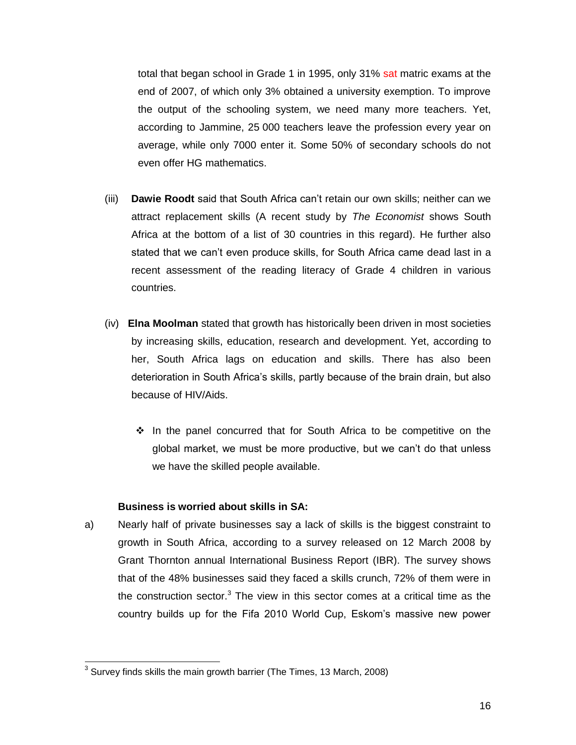total that began school in Grade 1 in 1995, only 31% sat matric exams at the end of 2007, of which only 3% obtained a university exemption. To improve the output of the schooling system, we need many more teachers. Yet, according to Jammine, 25 000 teachers leave the profession every year on average, while only 7000 enter it. Some 50% of secondary schools do not even offer HG mathematics.

- (iii) **Dawie Roodt** said that South Africa can"t retain our own skills; neither can we attract replacement skills (A recent study by *The Economist* shows South Africa at the bottom of a list of 30 countries in this regard). He further also stated that we can"t even produce skills, for South Africa came dead last in a recent assessment of the reading literacy of Grade 4 children in various countries.
- (iv) **Elna Moolman** stated that growth has historically been driven in most societies by increasing skills, education, research and development. Yet, according to her, South Africa lags on education and skills. There has also been deterioration in South Africa"s skills, partly because of the brain drain, but also because of HIV/Aids.
	- $\div$  In the panel concurred that for South Africa to be competitive on the global market, we must be more productive, but we can"t do that unless we have the skilled people available.

#### **Business is worried about skills in SA:**

a) Nearly half of private businesses say a lack of skills is the biggest constraint to growth in South Africa, according to a survey released on 12 March 2008 by Grant Thornton annual International Business Report (IBR). The survey shows that of the 48% businesses said they faced a skills crunch, 72% of them were in the construction sector.<sup>3</sup> The view in this sector comes at a critical time as the country builds up for the Fifa 2010 World Cup, Eskom"s massive new power

 3 Survey finds skills the main growth barrier (The Times, 13 March, 2008)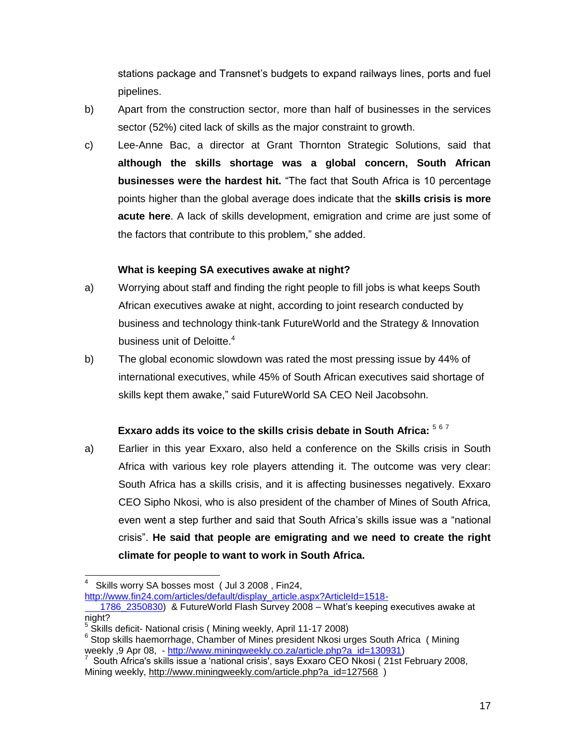stations package and Transnet"s budgets to expand railways lines, ports and fuel pipelines.

- b) Apart from the construction sector, more than half of businesses in the services sector (52%) cited lack of skills as the major constraint to growth.
- c) Lee-Anne Bac, a director at Grant Thornton Strategic Solutions, said that **although the skills shortage was a global concern, South African businesses were the hardest hit.** "The fact that South Africa is 10 percentage points higher than the global average does indicate that the **skills crisis is more acute here**. A lack of skills development, emigration and crime are just some of the factors that contribute to this problem," she added.

## **What is keeping SA executives awake at night?**

- a) Worrying about staff and finding the right people to fill jobs is what keeps South African executives awake at night, according to joint research conducted by business and technology think-tank FutureWorld and the Strategy & Innovation business unit of Deloitte.<sup>4</sup>
- b) The global economic slowdown was rated the most pressing issue by 44% of international executives, while 45% of South African executives said shortage of skills kept them awake," said FutureWorld SA CEO Neil Jacobsohn.

# **Exxaro adds its voice to the skills crisis debate in South Africa:** <sup>5</sup> <sup>6</sup> <sup>7</sup>

a) Earlier in this year Exxaro, also held a conference on the Skills crisis in South Africa with various key role players attending it. The outcome was very clear: South Africa has a skills crisis, and it is affecting businesses negatively. Exxaro CEO Sipho Nkosi, who is also president of the chamber of Mines of South Africa, even went a step further and said that South Africa"s skills issue was a "national crisis". **He said that people are emigrating and we need to create the right climate for people to want to work in South Africa.**

 $\overline{a}$ 

http://www.fin24.com/articles/default/display\_article.aspx?ArticleId=1518-

<sup>4</sup> Skills worry SA bosses most ( Jul 3 2008 , Fin24,

 [<sup>1786</sup>\\_2350830\)](http://www.fin24.com/articles/default/display_article.aspx?ArticleId=1518-%20%20%20%20%20%20%20%20%201786_2350830) & FutureWorld Flash Survey 2008 – What"s keeping executives awake at night?

<sup>&</sup>lt;sup>5</sup> Skills deficit- National crisis ( Mining weekly, April 11-17 2008)

<sup>&</sup>lt;sup>6</sup> Stop skills haemorrhage, Chamber of Mines president Nkosi urges South Africa ( Mining weekly ,9 Apr 08, - [http://www.miningweekly.co.za/article.php?a\\_id=130931\)](http://www.miningweekly.co.za/article.php?a_id=130931)<br><sup>7</sup>. South Africa's skille jonue a 'notional crisia', sove Exxers CEO Nkosi (.21et E

South Africa's skills issue a "national crisis', says Exxaro CEO Nkosi ( 21st February 2008, Mining weekly, [http://www.miningweekly.com/article.php?a\\_id=127568](http://www.miningweekly.com/article.php?a_id=127568) )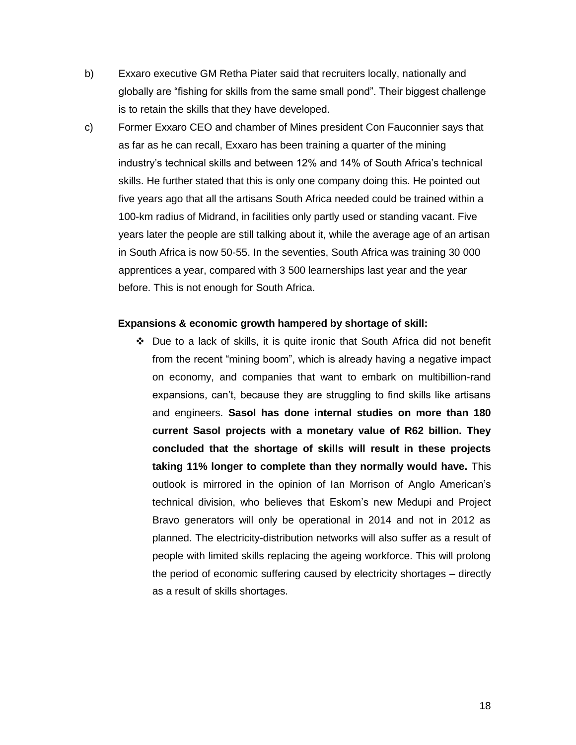- b) Exxaro executive GM Retha Piater said that recruiters locally, nationally and globally are "fishing for skills from the same small pond". Their biggest challenge is to retain the skills that they have developed.
- c) Former Exxaro CEO and chamber of Mines president Con Fauconnier says that as far as he can recall, Exxaro has been training a quarter of the mining industry's technical skills and between 12% and 14% of South Africa's technical skills. He further stated that this is only one company doing this. He pointed out five years ago that all the artisans South Africa needed could be trained within a 100-km radius of Midrand, in facilities only partly used or standing vacant. Five years later the people are still talking about it, while the average age of an artisan in South Africa is now 50-55. In the seventies, South Africa was training 30 000 apprentices a year, compared with 3 500 learnerships last year and the year before. This is not enough for South Africa.

#### **Expansions & economic growth hampered by shortage of skill:**

 Due to a lack of skills, it is quite ironic that South Africa did not benefit from the recent "mining boom", which is already having a negative impact on economy, and companies that want to embark on multibillion-rand expansions, can"t, because they are struggling to find skills like artisans and engineers. **Sasol has done internal studies on more than 180 current Sasol projects with a monetary value of R62 billion. They concluded that the shortage of skills will result in these projects taking 11% longer to complete than they normally would have.** This outlook is mirrored in the opinion of Ian Morrison of Anglo American"s technical division, who believes that Eskom"s new Medupi and Project Bravo generators will only be operational in 2014 and not in 2012 as planned. The electricity-distribution networks will also suffer as a result of people with limited skills replacing the ageing workforce. This will prolong the period of economic suffering caused by electricity shortages – directly as a result of skills shortages.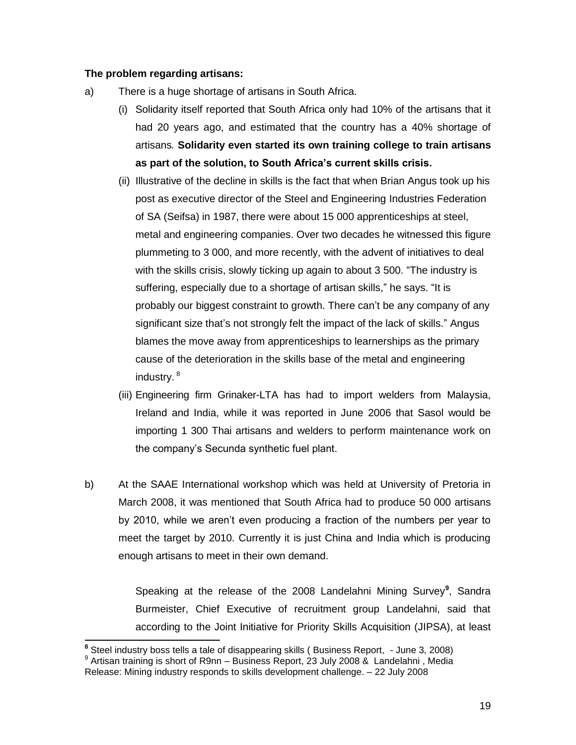#### **The problem regarding artisans:**

- a) There is a huge shortage of artisans in South Africa.
	- (i) Solidarity itself reported that South Africa only had 10% of the artisans that it had 20 years ago, and estimated that the country has a 40% shortage of artisans*.* **Solidarity even started its own training college to train artisans as part of the solution, to South Africa's current skills crisis.**
	- (ii) Illustrative of the decline in skills is the fact that when Brian Angus took up his post as executive director of the Steel and Engineering Industries Federation of SA (Seifsa) in 1987, there were about 15 000 apprenticeships at steel, metal and engineering companies. Over two decades he witnessed this figure plummeting to 3 000, and more recently, with the advent of initiatives to deal with the skills crisis, slowly ticking up again to about 3 500. "The industry is suffering, especially due to a shortage of artisan skills," he says. "It is probably our biggest constraint to growth. There can"t be any company of any significant size that's not strongly felt the impact of the lack of skills." Angus blames the move away from apprenticeships to learnerships as the primary cause of the deterioration in the skills base of the metal and engineering industry. <sup>8</sup>
	- (iii) Engineering firm Grinaker-LTA has had to import welders from Malaysia, Ireland and India, while it was reported in June 2006 that Sasol would be importing 1 300 Thai artisans and welders to perform maintenance work on the company"s Secunda synthetic fuel plant.
- b) At the SAAE International workshop which was held at University of Pretoria in March 2008, it was mentioned that South Africa had to produce 50 000 artisans by 2010, while we aren"t even producing a fraction of the numbers per year to meet the target by 2010. Currently it is just China and India which is producing enough artisans to meet in their own demand.

Speaking at the release of the 2008 Landelahni Mining Survey**<sup>9</sup>** , Sandra Burmeister, Chief Executive of recruitment group Landelahni, said that according to the Joint Initiative for Priority Skills Acquisition (JIPSA), at least

 **8** Steel industry boss tells a tale of disappearing skills ( Business Report, - June 3, 2008) <sup>9</sup> Artisan training is short of R9nn – Business Report, 23 July 2008 & Landelahni, Media

Release: Mining industry responds to skills development challenge. – 22 July 2008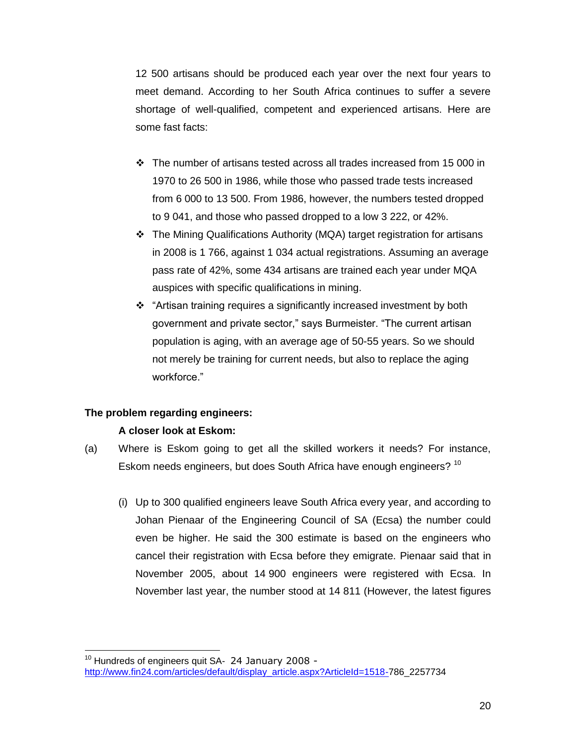12 500 artisans should be produced each year over the next four years to meet demand. According to her South Africa continues to suffer a severe shortage of well-qualified, competent and experienced artisans. Here are some fast facts:

- $\cdot \cdot$  The number of artisans tested across all trades increased from 15 000 in 1970 to 26 500 in 1986, while those who passed trade tests increased from 6 000 to 13 500. From 1986, however, the numbers tested dropped to 9 041, and those who passed dropped to a low 3 222, or 42%.
- The Mining Qualifications Authority (MQA) target registration for artisans in 2008 is 1 766, against 1 034 actual registrations. Assuming an average pass rate of 42%, some 434 artisans are trained each year under MQA auspices with specific qualifications in mining.
- "Artisan training requires a significantly increased investment by both government and private sector," says Burmeister. "The current artisan population is aging, with an average age of 50-55 years. So we should not merely be training for current needs, but also to replace the aging workforce."

#### **The problem regarding engineers:**

#### **A closer look at Eskom:**

- (a) Where is Eskom going to get all the skilled workers it needs? For instance, Eskom needs engineers, but does South Africa have enough engineers? <sup>10</sup>
	- (i) Up to 300 qualified engineers leave South Africa every year, and according to Johan Pienaar of the Engineering Council of SA (Ecsa) the number could even be higher. He said the 300 estimate is based on the engineers who cancel their registration with Ecsa before they emigrate. Pienaar said that in November 2005, about 14 900 engineers were registered with Ecsa. In November last year, the number stood at 14 811 (However, the latest figures

 $\overline{a}$ <sup>10</sup> Hundreds of engineers quit SA- 24 January 2008 [http://www.fin24.com/articles/default/display\\_article.aspx?ArticleId=1518-7](http://www.fin24.com/articles/default/display_article.aspx?ArticleId=1518-)86\_2257734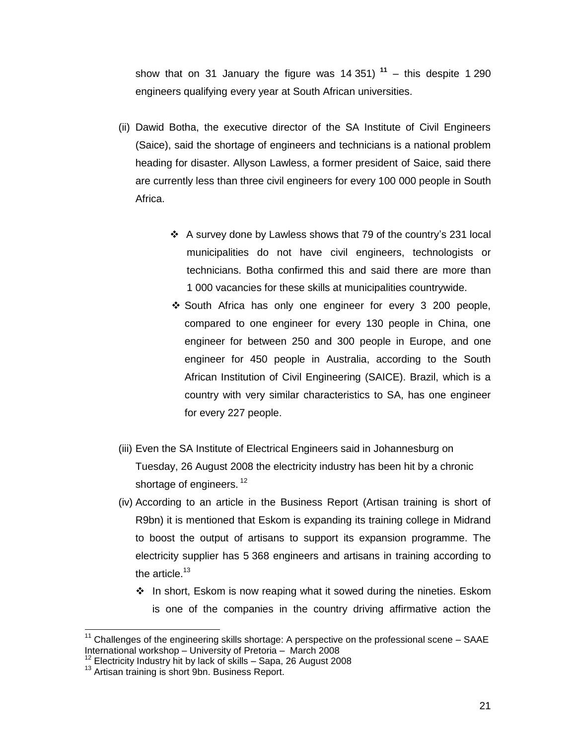show that on 31 January the figure was 14 351) **<sup>11</sup>** – this despite 1 290 engineers qualifying every year at South African universities.

- (ii) Dawid Botha, the executive director of the SA Institute of Civil Engineers (Saice), said the shortage of engineers and technicians is a national problem heading for disaster. Allyson Lawless, a former president of Saice, said there are currently less than three civil engineers for every 100 000 people in South Africa.
	- A survey done by Lawless shows that 79 of the country"s 231 local municipalities do not have civil engineers, technologists or technicians. Botha confirmed this and said there are more than 1 000 vacancies for these skills at municipalities countrywide.
	- ◆ South Africa has only one engineer for every 3 200 people, compared to one engineer for every 130 people in China, one engineer for between 250 and 300 people in Europe, and one engineer for 450 people in Australia, according to the South African Institution of Civil Engineering (SAICE). Brazil, which is a country with very similar characteristics to SA, has one engineer for every 227 people.
- (iii) Even the SA Institute of Electrical Engineers said in Johannesburg on Tuesday, 26 August 2008 the electricity industry has been hit by a chronic shortage of engineers.<sup>12</sup>
- (iv) According to an article in the Business Report (Artisan training is short of R9bn) it is mentioned that Eskom is expanding its training college in Midrand to boost the output of artisans to support its expansion programme. The electricity supplier has 5 368 engineers and artisans in training according to the article. $13$ 
	- $\div$  In short, Eskom is now reaping what it sowed during the nineties. Eskom is one of the companies in the country driving affirmative action the

 $11$  Challenges of the engineering skills shortage: A perspective on the professional scene – SAAE International workshop – University of Pretoria – March 2008

 $12$  Electricity Industry hit by lack of skills – Sapa, 26 August 2008

<sup>&</sup>lt;sup>13</sup> Artisan training is short 9bn. Business Report.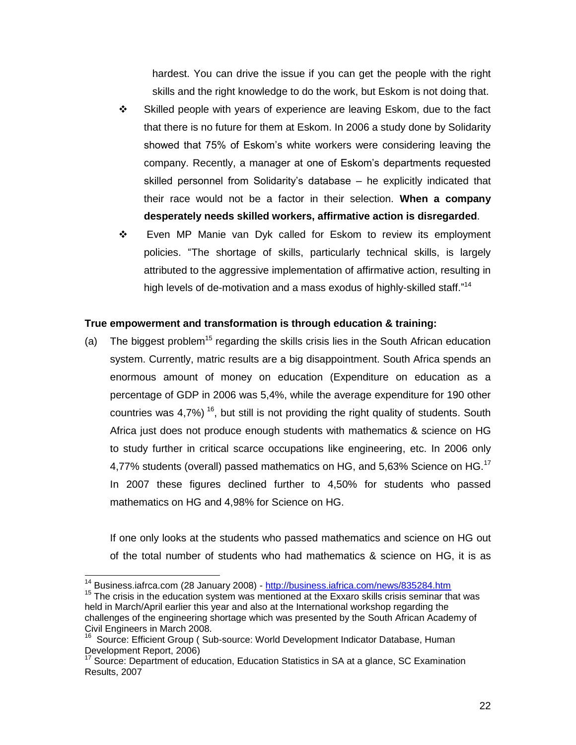hardest. You can drive the issue if you can get the people with the right skills and the right knowledge to do the work, but Eskom is not doing that.

- Skilled people with years of experience are leaving Eskom, due to the fact that there is no future for them at Eskom. In 2006 a study done by Solidarity showed that 75% of Eskom"s white workers were considering leaving the company. Recently, a manager at one of Eskom"s departments requested skilled personnel from Solidarity's database - he explicitly indicated that their race would not be a factor in their selection. **When a company desperately needs skilled workers, affirmative action is disregarded**.
- Even MP Manie van Dyk called for Eskom to review its employment policies. "The shortage of skills, particularly technical skills, is largely attributed to the aggressive implementation of affirmative action, resulting in high levels of de-motivation and a mass exodus of highly-skilled staff."<sup>14</sup>

#### **True empowerment and transformation is through education & training:**

(a) The biggest problem<sup>15</sup> regarding the skills crisis lies in the South African education system. Currently, matric results are a big disappointment. South Africa spends an enormous amount of money on education (Expenditure on education as a percentage of GDP in 2006 was 5,4%, while the average expenditure for 190 other countries was 4,7%)<sup>16</sup>, but still is not providing the right quality of students. South Africa just does not produce enough students with mathematics & science on HG to study further in critical scarce occupations like engineering, etc. In 2006 only 4,77% students (overall) passed mathematics on HG, and 5,63% Science on HG.<sup>17</sup> In 2007 these figures declined further to 4,50% for students who passed mathematics on HG and 4,98% for Science on HG.

If one only looks at the students who passed mathematics and science on HG out of the total number of students who had mathematics & science on HG, it is as

 $\overline{a}$ 

<sup>&</sup>lt;sup>14</sup> Business.iafrca.com (28 January 2008) - <http://business.iafrica.com/news/835284.htm>

 $15$  The crisis in the education system was mentioned at the Exxaro skills crisis seminar that was held in March/April earlier this year and also at the International workshop regarding the challenges of the engineering shortage which was presented by the South African Academy of Civil Engineers in March 2008.

<sup>&</sup>lt;sup>16</sup> Source: Efficient Group ( Sub-source: World Development Indicator Database, Human Development Report, 2006)

 $17$  Source: Department of education, Education Statistics in SA at a glance, SC Examination Results, 2007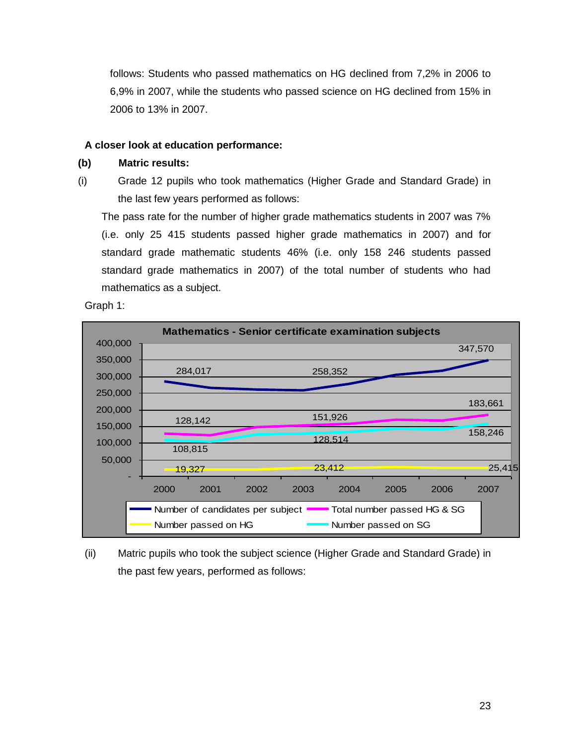follows: Students who passed mathematics on HG declined from 7,2% in 2006 to 6,9% in 2007, while the students who passed science on HG declined from 15% in 2006 to 13% in 2007.

## **A closer look at education performance:**

#### **(b) Matric results:**

(i) Grade 12 pupils who took mathematics (Higher Grade and Standard Grade) in the last few years performed as follows:

The pass rate for the number of higher grade mathematics students in 2007 was 7% (i.e. only 25 415 students passed higher grade mathematics in 2007) and for standard grade mathematic students 46% (i.e. only 158 246 students passed standard grade mathematics in 2007) of the total number of students who had mathematics as a subject.

Graph 1:



(ii) Matric pupils who took the subject science (Higher Grade and Standard Grade) in the past few years, performed as follows: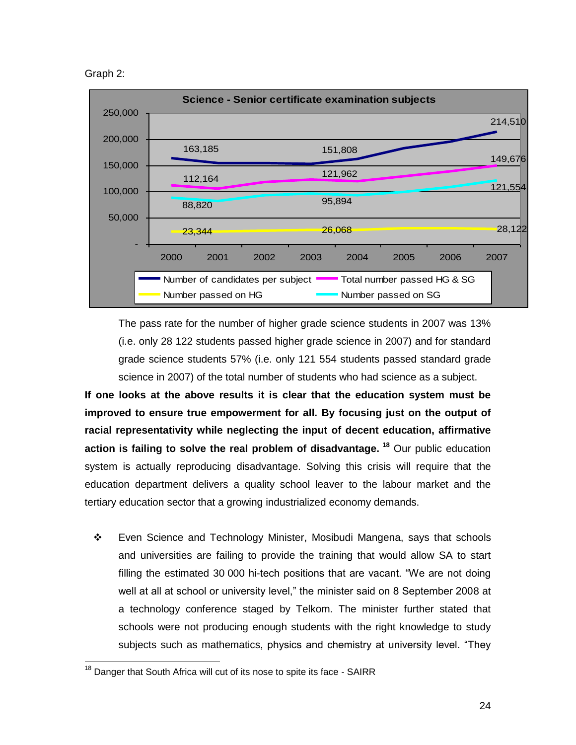Graph 2:



The pass rate for the number of higher grade science students in 2007 was 13% (i.e. only 28 122 students passed higher grade science in 2007) and for standard grade science students 57% (i.e. only 121 554 students passed standard grade science in 2007) of the total number of students who had science as a subject.

**If one looks at the above results it is clear that the education system must be improved to ensure true empowerment for all. By focusing just on the output of racial representativity while neglecting the input of decent education, affirmative action is failing to solve the real problem of disadvantage. <sup>18</sup>** Our public education system is actually reproducing disadvantage. Solving this crisis will require that the education department delivers a quality school leaver to the labour market and the tertiary education sector that a growing industrialized economy demands.

 Even Science and Technology Minister, Mosibudi Mangena, says that schools and universities are failing to provide the training that would allow SA to start filling the estimated 30 000 hi-tech positions that are vacant. "We are not doing well at all at school or university level," the minister said on 8 September 2008 at a technology conference staged by Telkom. The minister further stated that schools were not producing enough students with the right knowledge to study subjects such as mathematics, physics and chemistry at university level. "They

 $18$  Danger that South Africa will cut of its nose to spite its face - SAIRR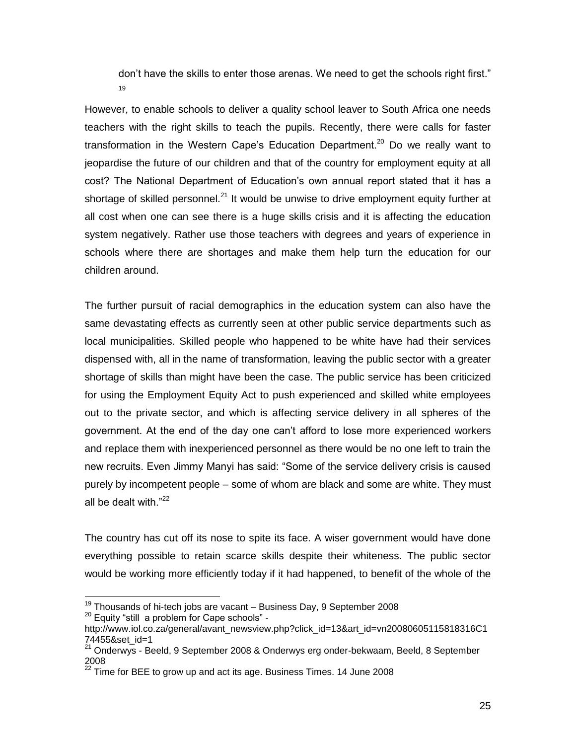don"t have the skills to enter those arenas. We need to get the schools right first." 19

However, to enable schools to deliver a quality school leaver to South Africa one needs teachers with the right skills to teach the pupils. Recently, there were calls for faster transformation in the Western Cape's Education Department.<sup>20</sup> Do we really want to jeopardise the future of our children and that of the country for employment equity at all cost? The National Department of Education's own annual report stated that it has a shortage of skilled personnel.<sup>21</sup> It would be unwise to drive employment equity further at all cost when one can see there is a huge skills crisis and it is affecting the education system negatively. Rather use those teachers with degrees and years of experience in schools where there are shortages and make them help turn the education for our children around.

The further pursuit of racial demographics in the education system can also have the same devastating effects as currently seen at other public service departments such as local municipalities. Skilled people who happened to be white have had their services dispensed with, all in the name of transformation, leaving the public sector with a greater shortage of skills than might have been the case. The public service has been criticized for using the Employment Equity Act to push experienced and skilled white employees out to the private sector, and which is affecting service delivery in all spheres of the government. At the end of the day one can"t afford to lose more experienced workers and replace them with inexperienced personnel as there would be no one left to train the new recruits. Even Jimmy Manyi has said: "Some of the service delivery crisis is caused purely by incompetent people – some of whom are black and some are white. They must all be dealt with."<sup>22</sup>

The country has cut off its nose to spite its face. A wiser government would have done everything possible to retain scarce skills despite their whiteness. The public sector would be working more efficiently today if it had happened, to benefit of the whole of the

 $19$  Thousands of hi-tech jobs are vacant – Business Day, 9 September 2008

 $20$  Equity "still a problem for Cape schools" -

http://www.iol.co.za/general/avant\_newsview.php?click\_id=13&art\_id=vn20080605115818316C1 74455&set\_id=1

<sup>&</sup>lt;sup>21</sup> Onderwys - Beeld, 9 September 2008 & Onderwys erg onder-bekwaam, Beeld, 8 September 2008

 $^{22}$  Time for BEE to grow up and act its age. Business Times. 14 June 2008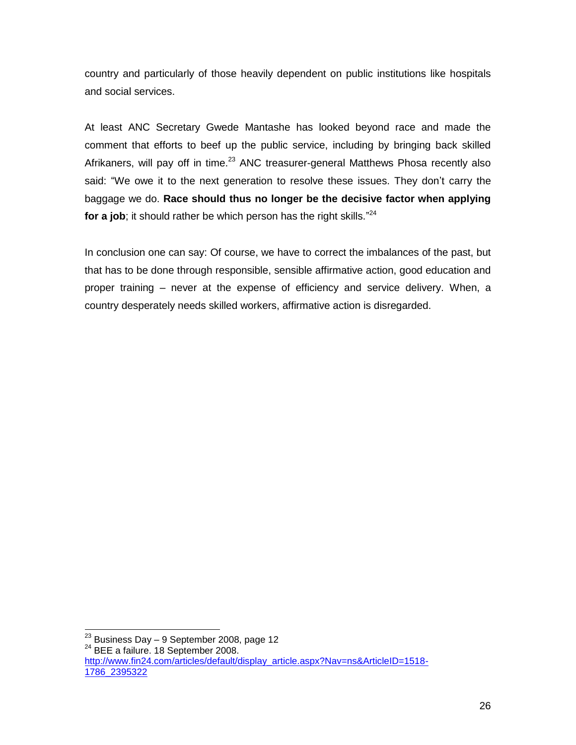country and particularly of those heavily dependent on public institutions like hospitals and social services.

At least ANC Secretary Gwede Mantashe has looked beyond race and made the comment that efforts to beef up the public service, including by bringing back skilled Afrikaners, will pay off in time.<sup>23</sup> ANC treasurer-general Matthews Phosa recently also said: "We owe it to the next generation to resolve these issues. They don't carry the baggage we do. **Race should thus no longer be the decisive factor when applying**  for a job; it should rather be which person has the right skills."<sup>24</sup>

In conclusion one can say: Of course, we have to correct the imbalances of the past, but that has to be done through responsible, sensible affirmative action, good education and proper training – never at the expense of efficiency and service delivery. When, a country desperately needs skilled workers, affirmative action is disregarded.

  $^{23}$  Business Day – 9 September 2008, page 12

<sup>24</sup> BEE a failure. 18 September 2008. [http://www.fin24.com/articles/default/display\\_article.aspx?Nav=ns&ArticleID=1518-](http://www.fin24.com/articles/default/display_article.aspx?Nav=ns&ArticleID=1518-1786_2395322) [1786\\_2395322](http://www.fin24.com/articles/default/display_article.aspx?Nav=ns&ArticleID=1518-1786_2395322)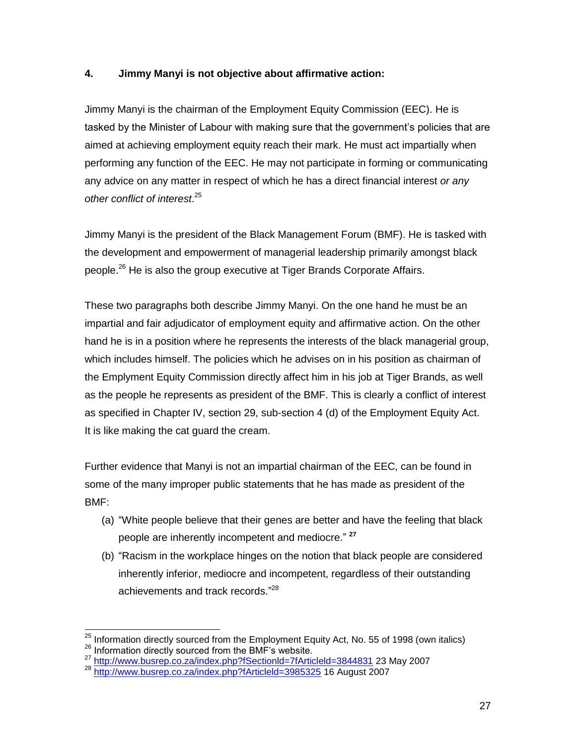# **4. Jimmy Manyi is not objective about affirmative action:**

Jimmy Manyi is the chairman of the Employment Equity Commission (EEC). He is tasked by the Minister of Labour with making sure that the government"s policies that are aimed at achieving employment equity reach their mark. He must act impartially when performing any function of the EEC. He may not participate in forming or communicating any advice on any matter in respect of which he has a direct financial interest *or any other conflict of interest*. 25

Jimmy Manyi is the president of the Black Management Forum (BMF). He is tasked with the development and empowerment of managerial leadership primarily amongst black people.<sup>26</sup> He is also the group executive at Tiger Brands Corporate Affairs.

These two paragraphs both describe Jimmy Manyi. On the one hand he must be an impartial and fair adjudicator of employment equity and affirmative action. On the other hand he is in a position where he represents the interests of the black managerial group, which includes himself. The policies which he advises on in his position as chairman of the Emplyment Equity Commission directly affect him in his job at Tiger Brands, as well as the people he represents as president of the BMF. This is clearly a conflict of interest as specified in Chapter IV, section 29, sub-section 4 (d) of the Employment Equity Act. It is like making the cat guard the cream.

Further evidence that Manyi is not an impartial chairman of the EEC, can be found in some of the many improper public statements that he has made as president of the BMF:

- (a) "White people believe that their genes are better and have the feeling that black people are inherently incompetent and mediocre." **27**
- (b) "Racism in the workplace hinges on the notion that black people are considered inherently inferior, mediocre and incompetent, regardless of their outstanding achievements and track records."<sup>28</sup>

<sup>&</sup>lt;sup>25</sup> Information directly sourced from the Employment Equity Act, No. 55 of 1998 (own italics)

<sup>26</sup> Information directly sourced from the BMF's website.

<sup>&</sup>lt;sup>27</sup> http://www.busrep.co.za/index.php?fSectionId=7fArticleId=3844831</u> 23 May 2007

<sup>&</sup>lt;sup>28</sup> http://www.busrep.co.za/index.php?fArticleId=3985325 16 August 2007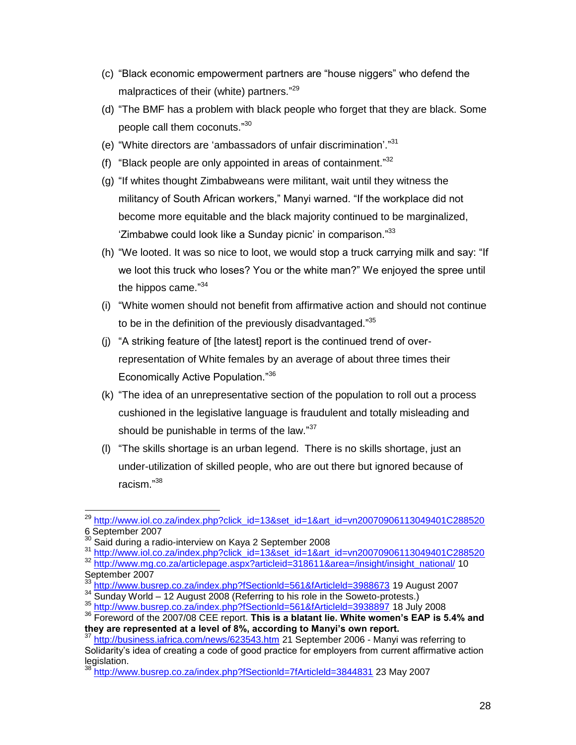- (c) "Black economic empowerment partners are "house niggers" who defend the malpractices of their (white) partners."<sup>29</sup>
- (d) "The BMF has a problem with black people who forget that they are black. Some people call them coconuts."<sup>30</sup>
- (e) "White directors are 'ambassadors of unfair discrimination'."31
- (f) "Black people are only appointed in areas of containment." $32$
- (g) "If whites thought Zimbabweans were militant, wait until they witness the militancy of South African workers," Manyi warned. "If the workplace did not become more equitable and the black majority continued to be marginalized, 'Zimbabwe could look like a Sunday picnic' in comparison."<sup>33</sup>
- (h) "We looted. It was so nice to loot, we would stop a truck carrying milk and say: "If we loot this truck who loses? You or the white man?" We enjoyed the spree until the hippos came."<sup>34</sup>
- (i) "White women should not benefit from affirmative action and should not continue to be in the definition of the previously disadvantaged."<sup>35</sup>
- (j) "A striking feature of [the latest] report is the continued trend of overrepresentation of White females by an average of about three times their Economically Active Population."<sup>36</sup>
- (k) "The idea of an unrepresentative section of the population to roll out a process cushioned in the legislative language is fraudulent and totally misleading and should be punishable in terms of the law."<sup>37</sup>
- (l) "The skills shortage is an urban legend. There is no skills shortage, just an under-utilization of skilled people, who are out there but ignored because of racism." 38

 $\overline{a}$ <sup>29</sup> [http://www.iol.co.za/index.php?click\\_id=13&set\\_id=1&art\\_id=vn20070906113049401C288520](http://www.iol.co.za/index.php?click_id=13&set_id=1&art_id=vn20070906113049401C288520) 6 September 2007

<sup>30</sup> Said during a radio-interview on Kaya 2 September 2008

<sup>&</sup>lt;sup>31</sup> [http://www.iol.co.za/index.php?click\\_id=13&set\\_id=1&art\\_id=vn20070906113049401C288520](http://www.iol.co.za/index.php?click_id=13&set_id=1&art_id=vn20070906113049401C288520) <sup>32</sup> [http://www.mg.co.za/articlepage.aspx?articleid=318611&area=/insight/insight\\_national/](http://www.mg.co.za/articlepage.aspx?articleid=318611&area=/insight/insight_national/) 10 September 2007

<sup>&</sup>lt;sup>33</sup> <u>http://www.busrep.co.za/index.php?fSectionId=561&fArticleId=3988673</u> 19 August 2007

<sup>&</sup>lt;sup>34</sup> Sunday World – 12 August 2008 (Referring to his role in the Soweto-protests.)

<sup>35</sup> <http://www.busrep.co.za/index.php?fSectionld=561&fArticleld=3938897> 18 July 2008

<sup>36</sup> Foreword of the 2007/08 CEE report. **This is a blatant lie. White women's EAP is 5.4% and they are represented at a level of 8%, according to Manyi's own report.**

<sup>&</sup>lt;sup>37</sup> <http://business.iafrica.com/news/623543.htm> 21 September 2006 - Manyi was referring to Solidarity"s idea of creating a code of good practice for employers from current affirmative action legislation.

<sup>38</sup> <http://www.busrep.co.za/index.php?fSectionld=7fArticleld=3844831> 23 May 2007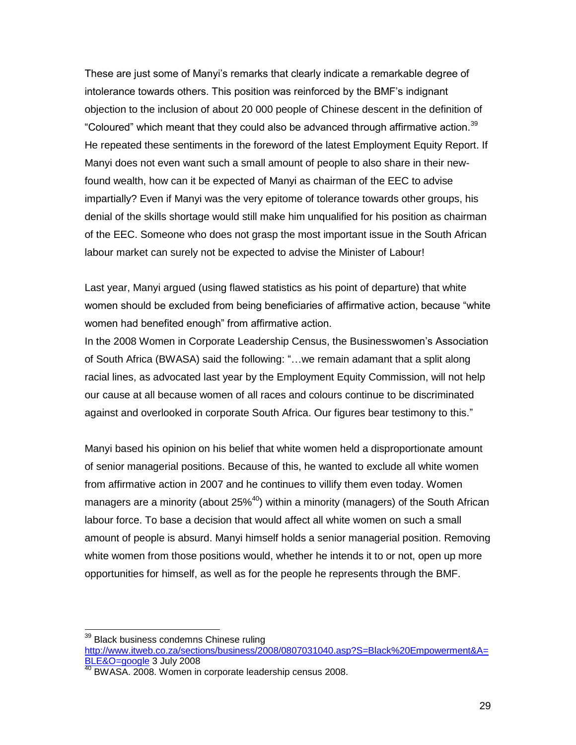These are just some of Manyi"s remarks that clearly indicate a remarkable degree of intolerance towards others. This position was reinforced by the BMF"s indignant objection to the inclusion of about 20 000 people of Chinese descent in the definition of "Coloured" which meant that they could also be advanced through affirmative action.<sup>39</sup> He repeated these sentiments in the foreword of the latest Employment Equity Report. If Manyi does not even want such a small amount of people to also share in their newfound wealth, how can it be expected of Manyi as chairman of the EEC to advise impartially? Even if Manyi was the very epitome of tolerance towards other groups, his denial of the skills shortage would still make him unqualified for his position as chairman of the EEC. Someone who does not grasp the most important issue in the South African labour market can surely not be expected to advise the Minister of Labour!

Last year, Manyi argued (using flawed statistics as his point of departure) that white women should be excluded from being beneficiaries of affirmative action, because "white women had benefited enough" from affirmative action.

In the 2008 Women in Corporate Leadership Census, the Businesswomen"s Association of South Africa (BWASA) said the following: "…we remain adamant that a split along racial lines, as advocated last year by the Employment Equity Commission, will not help our cause at all because women of all races and colours continue to be discriminated against and overlooked in corporate South Africa. Our figures bear testimony to this."

Manyi based his opinion on his belief that white women held a disproportionate amount of senior managerial positions. Because of this, he wanted to exclude all white women from affirmative action in 2007 and he continues to villify them even today. Women managers are a minority (about  $25\%$ <sup>40</sup>) within a minority (managers) of the South African labour force. To base a decision that would affect all white women on such a small amount of people is absurd. Manyi himself holds a senior managerial position. Removing white women from those positions would, whether he intends it to or not, open up more opportunities for himself, as well as for the people he represents through the BMF.

<sup>&</sup>lt;sup>39</sup> Black business condemns Chinese ruling [http://www.itweb.co.za/sections/business/2008/0807031040.asp?S=Black%20Empowerment&A=](http://www.itweb.co.za/sections/business/2008/0807031040.asp?S=Black%20Empowerment&A=BLE&O=google) [BLE&O=google](http://www.itweb.co.za/sections/business/2008/0807031040.asp?S=Black%20Empowerment&A=BLE&O=google) 3 July 2008

BWASA. 2008. Women in corporate leadership census 2008.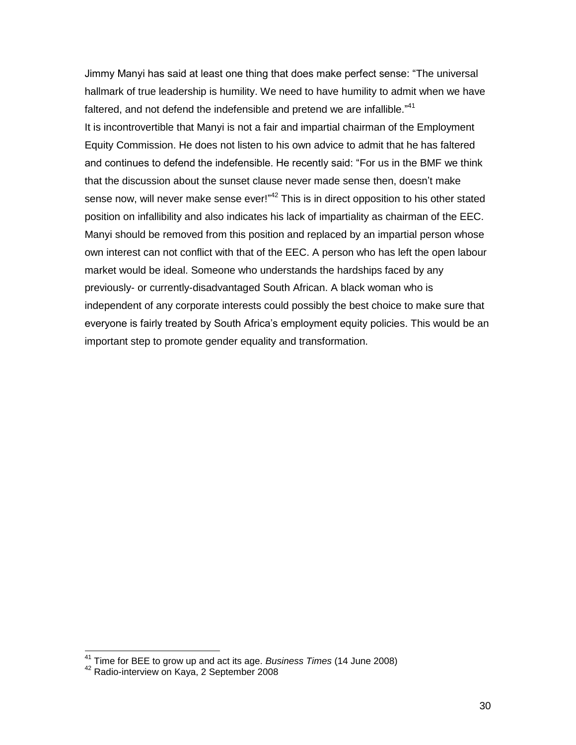Jimmy Manyi has said at least one thing that does make perfect sense: "The universal hallmark of true leadership is humility. We need to have humility to admit when we have faltered, and not defend the indefensible and pretend we are infallible."<sup>41</sup> It is incontrovertible that Manyi is not a fair and impartial chairman of the Employment Equity Commission. He does not listen to his own advice to admit that he has faltered and continues to defend the indefensible. He recently said: "For us in the BMF we think that the discussion about the sunset clause never made sense then, doesn"t make sense now, will never make sense ever!"<sup>42</sup> This is in direct opposition to his other stated position on infallibility and also indicates his lack of impartiality as chairman of the EEC. Manyi should be removed from this position and replaced by an impartial person whose own interest can not conflict with that of the EEC. A person who has left the open labour market would be ideal. Someone who understands the hardships faced by any previously- or currently-disadvantaged South African. A black woman who is independent of any corporate interests could possibly the best choice to make sure that everyone is fairly treated by South Africa"s employment equity policies. This would be an important step to promote gender equality and transformation.

<sup>41</sup> Time for BEE to grow up and act its age. *Business Times* (14 June 2008)

<sup>&</sup>lt;sup>42</sup> Radio-interview on Kaya, 2 September 2008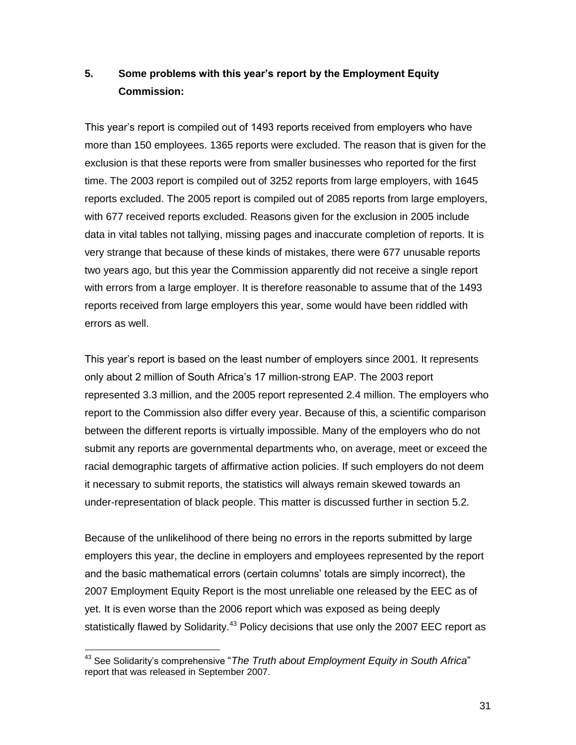# **5. Some problems with this year's report by the Employment Equity Commission:**

This year"s report is compiled out of 1493 reports received from employers who have more than 150 employees. 1365 reports were excluded. The reason that is given for the exclusion is that these reports were from smaller businesses who reported for the first time. The 2003 report is compiled out of 3252 reports from large employers, with 1645 reports excluded. The 2005 report is compiled out of 2085 reports from large employers, with 677 received reports excluded. Reasons given for the exclusion in 2005 include data in vital tables not tallying, missing pages and inaccurate completion of reports. It is very strange that because of these kinds of mistakes, there were 677 unusable reports two years ago, but this year the Commission apparently did not receive a single report with errors from a large employer. It is therefore reasonable to assume that of the 1493 reports received from large employers this year, some would have been riddled with errors as well.

This year"s report is based on the least number of employers since 2001. It represents only about 2 million of South Africa"s 17 million-strong EAP. The 2003 report represented 3.3 million, and the 2005 report represented 2.4 million. The employers who report to the Commission also differ every year. Because of this, a scientific comparison between the different reports is virtually impossible. Many of the employers who do not submit any reports are governmental departments who, on average, meet or exceed the racial demographic targets of affirmative action policies. If such employers do not deem it necessary to submit reports, the statistics will always remain skewed towards an under-representation of black people. This matter is discussed further in section 5.2.

Because of the unlikelihood of there being no errors in the reports submitted by large employers this year, the decline in employers and employees represented by the report and the basic mathematical errors (certain columns" totals are simply incorrect), the 2007 Employment Equity Report is the most unreliable one released by the EEC as of yet. It is even worse than the 2006 report which was exposed as being deeply statistically flawed by Solidarity.<sup>43</sup> Policy decisions that use only the 2007 EEC report as

<sup>&</sup>lt;sup>43</sup> See Solidarity's comprehensive "The Truth about Employment Equity in South Africa" report that was released in September 2007.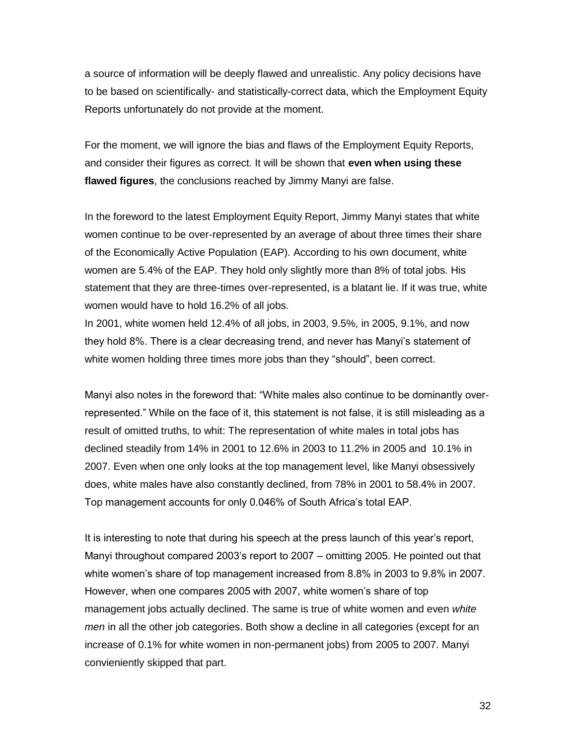a source of information will be deeply flawed and unrealistic. Any policy decisions have to be based on scientifically- and statistically-correct data, which the Employment Equity Reports unfortunately do not provide at the moment.

For the moment, we will ignore the bias and flaws of the Employment Equity Reports, and consider their figures as correct. It will be shown that **even when using these flawed figures**, the conclusions reached by Jimmy Manyi are false.

In the foreword to the latest Employment Equity Report, Jimmy Manyi states that white women continue to be over-represented by an average of about three times their share of the Economically Active Population (EAP). According to his own document, white women are 5.4% of the EAP. They hold only slightly more than 8% of total jobs. His statement that they are three-times over-represented, is a blatant lie. If it was true, white women would have to hold 16.2% of all jobs.

In 2001, white women held 12.4% of all jobs, in 2003, 9.5%, in 2005, 9.1%, and now they hold 8%. There is a clear decreasing trend, and never has Manyi"s statement of white women holding three times more jobs than they "should", been correct.

Manyi also notes in the foreword that: "White males also continue to be dominantly overrepresented." While on the face of it, this statement is not false, it is still misleading as a result of omitted truths, to whit: The representation of white males in total jobs has declined steadily from 14% in 2001 to 12.6% in 2003 to 11.2% in 2005 and 10.1% in 2007. Even when one only looks at the top management level, like Manyi obsessively does, white males have also constantly declined, from 78% in 2001 to 58.4% in 2007. Top management accounts for only 0.046% of South Africa"s total EAP.

It is interesting to note that during his speech at the press launch of this year's report, Manyi throughout compared 2003"s report to 2007 – omitting 2005. He pointed out that white women"s share of top management increased from 8.8% in 2003 to 9.8% in 2007. However, when one compares 2005 with 2007, white women"s share of top management jobs actually declined. The same is true of white women and even *white men* in all the other job categories. Both show a decline in all categories (except for an increase of 0.1% for white women in non-permanent jobs) from 2005 to 2007. Manyi convieniently skipped that part.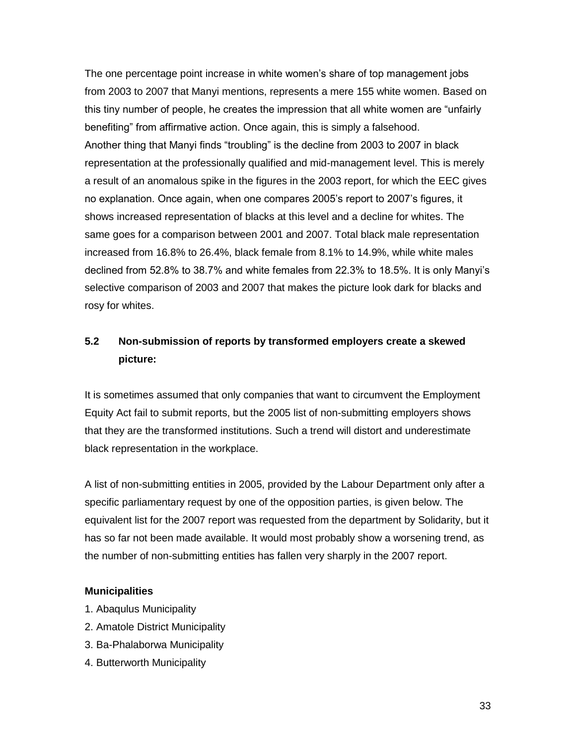The one percentage point increase in white women"s share of top management jobs from 2003 to 2007 that Manyi mentions, represents a mere 155 white women. Based on this tiny number of people, he creates the impression that all white women are "unfairly benefiting" from affirmative action. Once again, this is simply a falsehood. Another thing that Manyi finds "troubling" is the decline from 2003 to 2007 in black representation at the professionally qualified and mid-management level. This is merely a result of an anomalous spike in the figures in the 2003 report, for which the EEC gives no explanation. Once again, when one compares 2005"s report to 2007"s figures, it shows increased representation of blacks at this level and a decline for whites. The same goes for a comparison between 2001 and 2007. Total black male representation increased from 16.8% to 26.4%, black female from 8.1% to 14.9%, while white males declined from 52.8% to 38.7% and white females from 22.3% to 18.5%. It is only Manyi"s selective comparison of 2003 and 2007 that makes the picture look dark for blacks and rosy for whites.

# **5.2 Non-submission of reports by transformed employers create a skewed picture:**

It is sometimes assumed that only companies that want to circumvent the Employment Equity Act fail to submit reports, but the 2005 list of non-submitting employers shows that they are the transformed institutions. Such a trend will distort and underestimate black representation in the workplace.

A list of non-submitting entities in 2005, provided by the Labour Department only after a specific parliamentary request by one of the opposition parties, is given below. The equivalent list for the 2007 report was requested from the department by Solidarity, but it has so far not been made available. It would most probably show a worsening trend, as the number of non-submitting entities has fallen very sharply in the 2007 report.

#### **Municipalities**

- 1. Abaqulus Municipality
- 2. Amatole District Municipality
- 3. Ba-Phalaborwa Municipality
- 4. Butterworth Municipality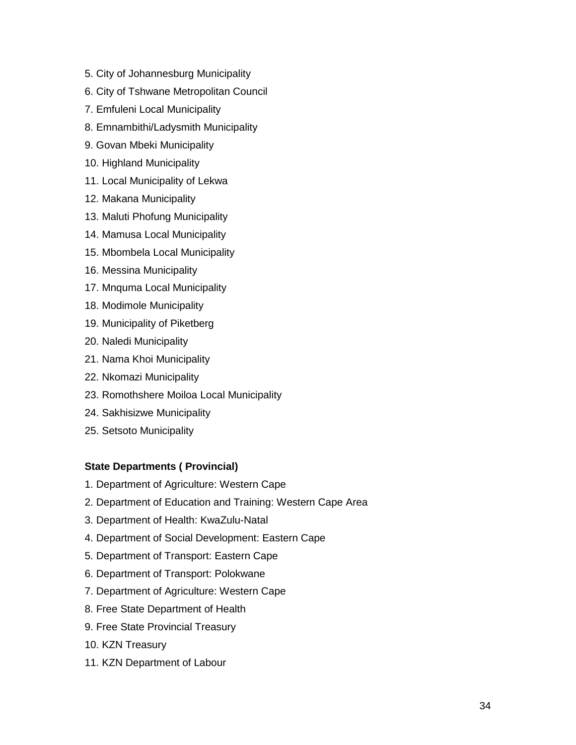- 5. City of Johannesburg Municipality
- 6. City of Tshwane Metropolitan Council
- 7. Emfuleni Local Municipality
- 8. Emnambithi/Ladysmith Municipality
- 9. Govan Mbeki Municipality
- 10. Highland Municipality
- 11. Local Municipality of Lekwa
- 12. Makana Municipality
- 13. Maluti Phofung Municipality
- 14. Mamusa Local Municipality
- 15. Mbombela Local Municipality
- 16. Messina Municipality
- 17. Mnquma Local Municipality
- 18. Modimole Municipality
- 19. Municipality of Piketberg
- 20. Naledi Municipality
- 21. Nama Khoi Municipality
- 22. Nkomazi Municipality
- 23. Romothshere Moiloa Local Municipality
- 24. Sakhisizwe Municipality
- 25. Setsoto Municipality

#### **State Departments ( Provincial)**

- 1. Department of Agriculture: Western Cape
- 2. Department of Education and Training: Western Cape Area
- 3. Department of Health: KwaZulu-Natal
- 4. Department of Social Development: Eastern Cape
- 5. Department of Transport: Eastern Cape
- 6. Department of Transport: Polokwane
- 7. Department of Agriculture: Western Cape
- 8. Free State Department of Health
- 9. Free State Provincial Treasury
- 10. KZN Treasury
- 11. KZN Department of Labour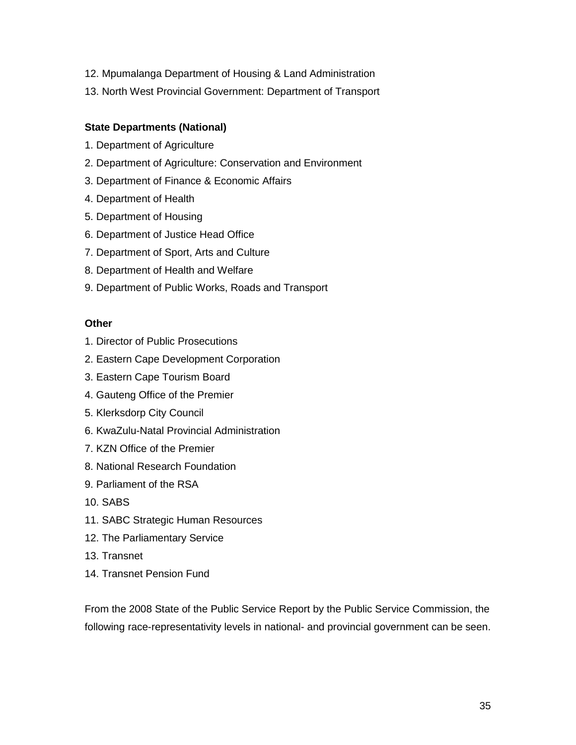- 12. Mpumalanga Department of Housing & Land Administration
- 13. North West Provincial Government: Department of Transport

## **State Departments (National)**

- 1. Department of Agriculture
- 2. Department of Agriculture: Conservation and Environment
- 3. Department of Finance & Economic Affairs
- 4. Department of Health
- 5. Department of Housing
- 6. Department of Justice Head Office
- 7. Department of Sport, Arts and Culture
- 8. Department of Health and Welfare
- 9. Department of Public Works, Roads and Transport

## **Other**

- 1. Director of Public Prosecutions
- 2. Eastern Cape Development Corporation
- 3. Eastern Cape Tourism Board
- 4. Gauteng Office of the Premier
- 5. Klerksdorp City Council
- 6. KwaZulu-Natal Provincial Administration
- 7. KZN Office of the Premier
- 8. National Research Foundation
- 9. Parliament of the RSA
- 10. SABS
- 11. SABC Strategic Human Resources
- 12. The Parliamentary Service
- 13. Transnet
- 14. Transnet Pension Fund

From the 2008 State of the Public Service Report by the Public Service Commission, the following race-representativity levels in national- and provincial government can be seen.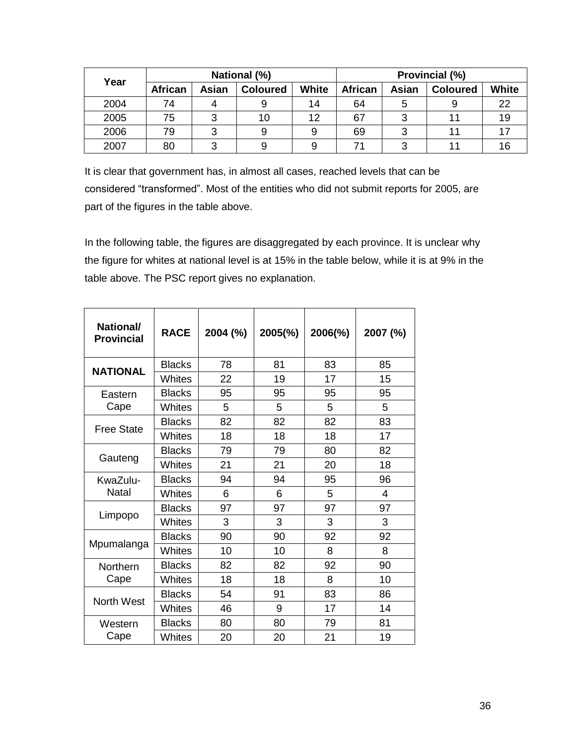|      | National (%)   |       |                 |              | Provincial (%) |       |                 |              |
|------|----------------|-------|-----------------|--------------|----------------|-------|-----------------|--------------|
| Year | <b>African</b> | Asian | <b>Coloured</b> | <b>White</b> | <b>African</b> | Asian | <b>Coloured</b> | <b>White</b> |
| 2004 | 74             |       |                 | 14           | 64             | 5     |                 | 22           |
| 2005 | 75             |       | 10              | 12           | 67             | 3     | 11              | 19           |
| 2006 | 79             |       |                 |              | 69             | 3     | 11              |              |
| 2007 | 80             |       |                 | 9            | 71             | າ     | 11              | 16           |

It is clear that government has, in almost all cases, reached levels that can be considered "transformed". Most of the entities who did not submit reports for 2005, are part of the figures in the table above.

In the following table, the figures are disaggregated by each province. It is unclear why the figure for whites at national level is at 15% in the table below, while it is at 9% in the table above. The PSC report gives no explanation.

| National/<br><b>Provincial</b> | <b>RACE</b>   | 2004 (%) | 2005(%) | 2006(%) | 2007 (%) |
|--------------------------------|---------------|----------|---------|---------|----------|
| <b>NATIONAL</b>                | <b>Blacks</b> | 78       | 81      | 83      | 85       |
|                                | <b>Whites</b> | 22       | 19      | 17      | 15       |
| Eastern                        | <b>Blacks</b> | 95       | 95      | 95      | 95       |
| Cape                           | <b>Whites</b> | 5        | 5       | 5       | 5        |
| <b>Free State</b>              | <b>Blacks</b> | 82       | 82      | 82      | 83       |
|                                | <b>Whites</b> | 18       | 18      | 18      | 17       |
|                                | <b>Blacks</b> | 79       | 79      | 80      | 82       |
| Gauteng                        | Whites        | 21       | 21      | 20      | 18       |
| KwaZulu-                       | <b>Blacks</b> | 94       | 94      | 95      | 96       |
| <b>Natal</b>                   | Whites        | 6        | 6       | 5       | 4        |
|                                | <b>Blacks</b> | 97       | 97      | 97      | 97       |
| Limpopo                        | <b>Whites</b> | 3        | 3       | 3       | 3        |
|                                | <b>Blacks</b> | 90       | 90      | 92      | 92       |
| Mpumalanga                     | <b>Whites</b> | 10       | 10      | 8       | 8        |
| Northern                       | <b>Blacks</b> | 82       | 82      | 92      | 90       |
| Cape                           | <b>Whites</b> | 18       | 18      | 8       | 10       |
| <b>North West</b>              | <b>Blacks</b> | 54       | 91      | 83      | 86       |
|                                | <b>Whites</b> | 46       | 9       | 17      | 14       |
| Western                        | <b>Blacks</b> | 80       | 80      | 79      | 81       |
| Cape                           | Whites        | 20       | 20      | 21      | 19       |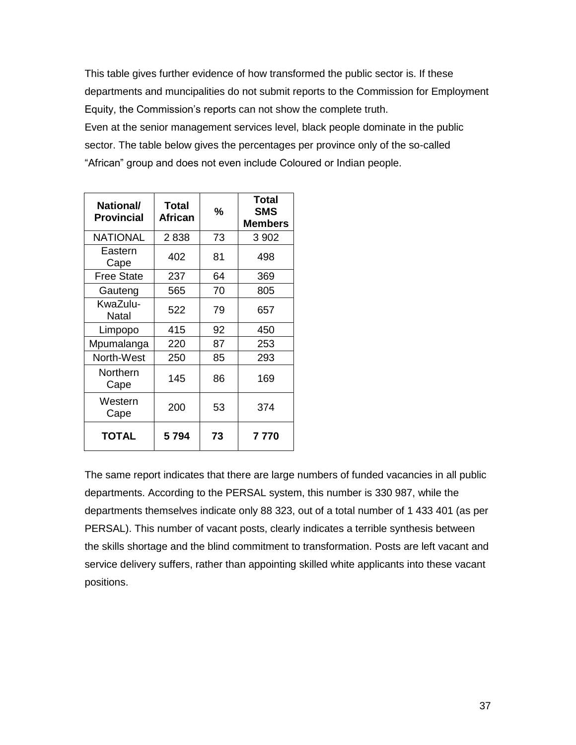This table gives further evidence of how transformed the public sector is. If these departments and muncipalities do not submit reports to the Commission for Employment Equity, the Commission"s reports can not show the complete truth. Even at the senior management services level, black people dominate in the public sector. The table below gives the percentages per province only of the so-called "African" group and does not even include Coloured or Indian people.

| <b>National/</b><br><b>Provincial</b> | <b>Total</b><br>African | %  | Total<br><b>SMS</b><br><b>Members</b> |
|---------------------------------------|-------------------------|----|---------------------------------------|
| <b>NATIONAL</b>                       | 2838                    | 73 | 3 902                                 |
| Eastern<br>Cape                       | 402                     | 81 | 498                                   |
| <b>Free State</b>                     | 237                     | 64 | 369                                   |
| Gauteng                               | 565                     | 70 | 805                                   |
| KwaZulu-<br>Natal                     | 522                     | 79 | 657                                   |
| Limpopo                               | 415                     | 92 | 450                                   |
| Mpumalanga                            | 220                     | 87 | 253                                   |
| North-West                            | 250                     | 85 | 293                                   |
| Northern<br>Cape                      | 145                     | 86 | 169                                   |
| Western<br>Cape                       | 200                     | 53 | 374                                   |
| <b>TOTAL</b>                          | 5794                    | 73 | 7 770                                 |

The same report indicates that there are large numbers of funded vacancies in all public departments. According to the PERSAL system, this number is 330 987, while the departments themselves indicate only 88 323, out of a total number of 1 433 401 (as per PERSAL). This number of vacant posts, clearly indicates a terrible synthesis between the skills shortage and the blind commitment to transformation. Posts are left vacant and service delivery suffers, rather than appointing skilled white applicants into these vacant positions.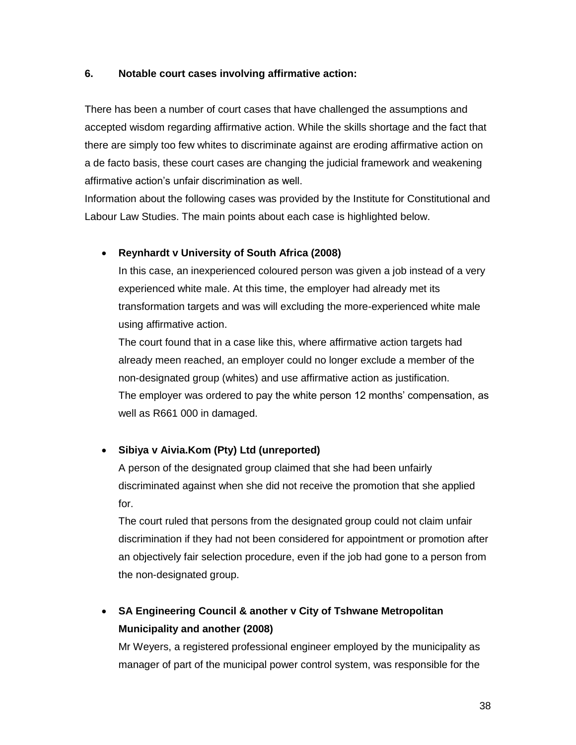#### **6. Notable court cases involving affirmative action:**

There has been a number of court cases that have challenged the assumptions and accepted wisdom regarding affirmative action. While the skills shortage and the fact that there are simply too few whites to discriminate against are eroding affirmative action on a de facto basis, these court cases are changing the judicial framework and weakening affirmative action"s unfair discrimination as well.

Information about the following cases was provided by the Institute for Constitutional and Labour Law Studies. The main points about each case is highlighted below.

## **Reynhardt v University of South Africa (2008)**

In this case, an inexperienced coloured person was given a job instead of a very experienced white male. At this time, the employer had already met its transformation targets and was will excluding the more-experienced white male using affirmative action.

The court found that in a case like this, where affirmative action targets had already meen reached, an employer could no longer exclude a member of the non-designated group (whites) and use affirmative action as justification. The employer was ordered to pay the white person 12 months" compensation, as well as R661 000 in damaged.

# **Sibiya v Aivia.Kom (Pty) Ltd (unreported)**

A person of the designated group claimed that she had been unfairly discriminated against when she did not receive the promotion that she applied for.

The court ruled that persons from the designated group could not claim unfair discrimination if they had not been considered for appointment or promotion after an objectively fair selection procedure, even if the job had gone to a person from the non-designated group.

# **SA Engineering Council & another v City of Tshwane Metropolitan Municipality and another (2008)**

Mr Weyers, a registered professional engineer employed by the municipality as manager of part of the municipal power control system, was responsible for the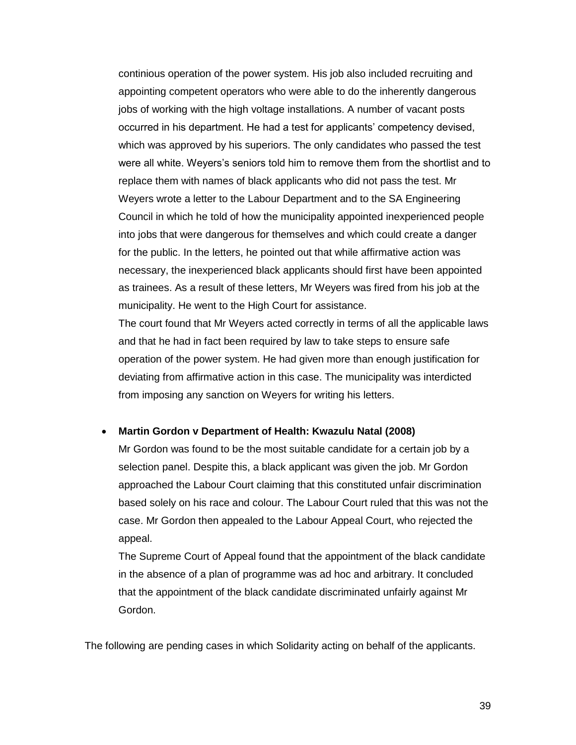continious operation of the power system. His job also included recruiting and appointing competent operators who were able to do the inherently dangerous jobs of working with the high voltage installations. A number of vacant posts occurred in his department. He had a test for applicants" competency devised, which was approved by his superiors. The only candidates who passed the test were all white. Weyers"s seniors told him to remove them from the shortlist and to replace them with names of black applicants who did not pass the test. Mr Weyers wrote a letter to the Labour Department and to the SA Engineering Council in which he told of how the municipality appointed inexperienced people into jobs that were dangerous for themselves and which could create a danger for the public. In the letters, he pointed out that while affirmative action was necessary, the inexperienced black applicants should first have been appointed as trainees. As a result of these letters, Mr Weyers was fired from his job at the municipality. He went to the High Court for assistance.

The court found that Mr Weyers acted correctly in terms of all the applicable laws and that he had in fact been required by law to take steps to ensure safe operation of the power system. He had given more than enough justification for deviating from affirmative action in this case. The municipality was interdicted from imposing any sanction on Weyers for writing his letters.

#### **Martin Gordon v Department of Health: Kwazulu Natal (2008)**

Mr Gordon was found to be the most suitable candidate for a certain job by a selection panel. Despite this, a black applicant was given the job. Mr Gordon approached the Labour Court claiming that this constituted unfair discrimination based solely on his race and colour. The Labour Court ruled that this was not the case. Mr Gordon then appealed to the Labour Appeal Court, who rejected the appeal.

The Supreme Court of Appeal found that the appointment of the black candidate in the absence of a plan of programme was ad hoc and arbitrary. It concluded that the appointment of the black candidate discriminated unfairly against Mr Gordon.

The following are pending cases in which Solidarity acting on behalf of the applicants.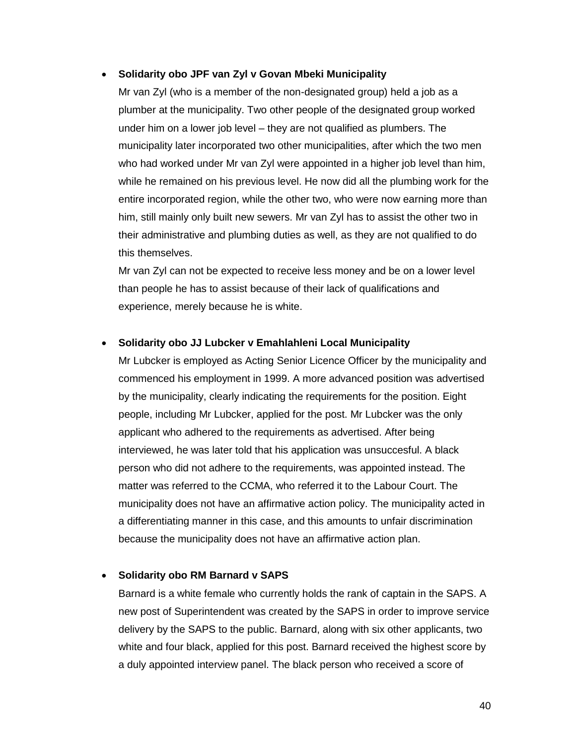#### **Solidarity obo JPF van Zyl v Govan Mbeki Municipality**

Mr van Zyl (who is a member of the non-designated group) held a job as a plumber at the municipality. Two other people of the designated group worked under him on a lower job level – they are not qualified as plumbers. The municipality later incorporated two other municipalities, after which the two men who had worked under Mr van Zyl were appointed in a higher job level than him, while he remained on his previous level. He now did all the plumbing work for the entire incorporated region, while the other two, who were now earning more than him, still mainly only built new sewers. Mr van Zyl has to assist the other two in their administrative and plumbing duties as well, as they are not qualified to do this themselves.

Mr van Zyl can not be expected to receive less money and be on a lower level than people he has to assist because of their lack of qualifications and experience, merely because he is white.

#### **Solidarity obo JJ Lubcker v Emahlahleni Local Municipality**

Mr Lubcker is employed as Acting Senior Licence Officer by the municipality and commenced his employment in 1999. A more advanced position was advertised by the municipality, clearly indicating the requirements for the position. Eight people, including Mr Lubcker, applied for the post. Mr Lubcker was the only applicant who adhered to the requirements as advertised. After being interviewed, he was later told that his application was unsuccesful. A black person who did not adhere to the requirements, was appointed instead. The matter was referred to the CCMA, who referred it to the Labour Court. The municipality does not have an affirmative action policy. The municipality acted in a differentiating manner in this case, and this amounts to unfair discrimination because the municipality does not have an affirmative action plan.

#### **Solidarity obo RM Barnard v SAPS**

Barnard is a white female who currently holds the rank of captain in the SAPS. A new post of Superintendent was created by the SAPS in order to improve service delivery by the SAPS to the public. Barnard, along with six other applicants, two white and four black, applied for this post. Barnard received the highest score by a duly appointed interview panel. The black person who received a score of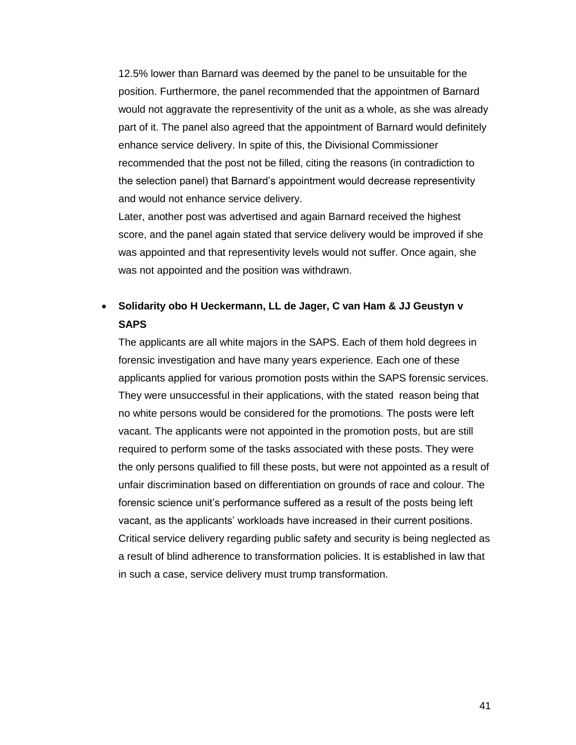12.5% lower than Barnard was deemed by the panel to be unsuitable for the position. Furthermore, the panel recommended that the appointmen of Barnard would not aggravate the representivity of the unit as a whole, as she was already part of it. The panel also agreed that the appointment of Barnard would definitely enhance service delivery. In spite of this, the Divisional Commissioner recommended that the post not be filled, citing the reasons (in contradiction to the selection panel) that Barnard"s appointment would decrease representivity and would not enhance service delivery.

Later, another post was advertised and again Barnard received the highest score, and the panel again stated that service delivery would be improved if she was appointed and that representivity levels would not suffer. Once again, she was not appointed and the position was withdrawn.

# **Solidarity obo H Ueckermann, LL de Jager, C van Ham & JJ Geustyn v SAPS**

The applicants are all white majors in the SAPS. Each of them hold degrees in forensic investigation and have many years experience. Each one of these applicants applied for various promotion posts within the SAPS forensic services. They were unsuccessful in their applications, with the stated reason being that no white persons would be considered for the promotions. The posts were left vacant. The applicants were not appointed in the promotion posts, but are still required to perform some of the tasks associated with these posts. They were the only persons qualified to fill these posts, but were not appointed as a result of unfair discrimination based on differentiation on grounds of race and colour. The forensic science unit"s performance suffered as a result of the posts being left vacant, as the applicants" workloads have increased in their current positions. Critical service delivery regarding public safety and security is being neglected as a result of blind adherence to transformation policies. It is established in law that in such a case, service delivery must trump transformation.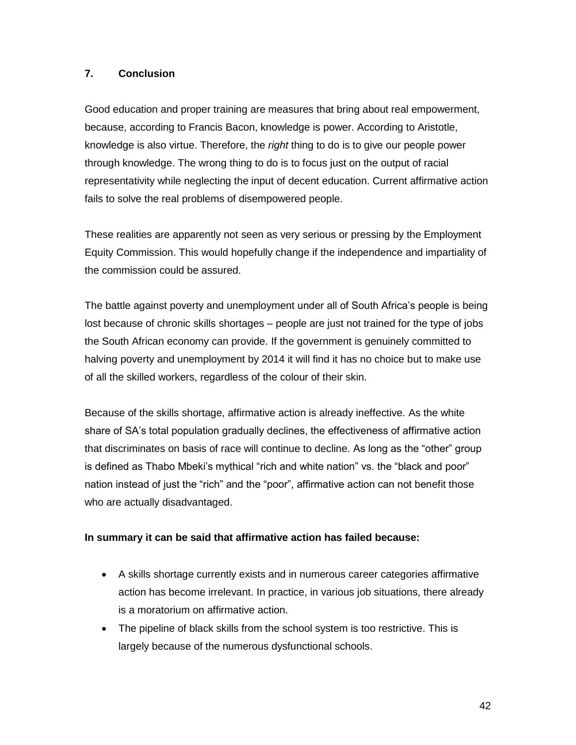## **7. Conclusion**

Good education and proper training are measures that bring about real empowerment, because, according to Francis Bacon, knowledge is power. According to Aristotle, knowledge is also virtue. Therefore, the *right* thing to do is to give our people power through knowledge. The wrong thing to do is to focus just on the output of racial representativity while neglecting the input of decent education. Current affirmative action fails to solve the real problems of disempowered people.

These realities are apparently not seen as very serious or pressing by the Employment Equity Commission. This would hopefully change if the independence and impartiality of the commission could be assured.

The battle against poverty and unemployment under all of South Africa's people is being lost because of chronic skills shortages – people are just not trained for the type of jobs the South African economy can provide. If the government is genuinely committed to halving poverty and unemployment by 2014 it will find it has no choice but to make use of all the skilled workers, regardless of the colour of their skin.

Because of the skills shortage, affirmative action is already ineffective. As the white share of SA"s total population gradually declines, the effectiveness of affirmative action that discriminates on basis of race will continue to decline. As long as the "other" group is defined as Thabo Mbeki"s mythical "rich and white nation" vs. the "black and poor" nation instead of just the "rich" and the "poor", affirmative action can not benefit those who are actually disadvantaged.

#### **In summary it can be said that affirmative action has failed because:**

- A skills shortage currently exists and in numerous career categories affirmative action has become irrelevant. In practice, in various job situations, there already is a moratorium on affirmative action.
- The pipeline of black skills from the school system is too restrictive. This is largely because of the numerous dysfunctional schools.